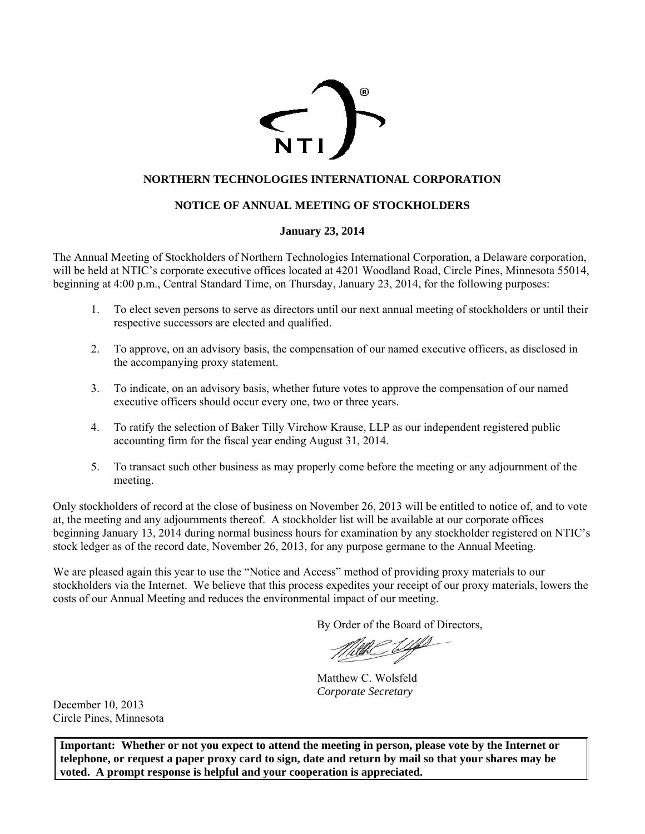

# **NORTHERN TECHNOLOGIES INTERNATIONAL CORPORATION**

# **NOTICE OF ANNUAL MEETING OF STOCKHOLDERS**

# **January 23, 2014**

The Annual Meeting of Stockholders of Northern Technologies International Corporation, a Delaware corporation, will be held at NTIC's corporate executive offices located at 4201 Woodland Road, Circle Pines, Minnesota 55014, beginning at 4:00 p.m., Central Standard Time, on Thursday, January 23, 2014, for the following purposes:

- 1. To elect seven persons to serve as directors until our next annual meeting of stockholders or until their respective successors are elected and qualified.
- 2. To approve, on an advisory basis, the compensation of our named executive officers, as disclosed in the accompanying proxy statement.
- 3. To indicate, on an advisory basis, whether future votes to approve the compensation of our named executive officers should occur every one, two or three years.
- 4. To ratify the selection of Baker Tilly Virchow Krause, LLP as our independent registered public accounting firm for the fiscal year ending August 31, 2014.
- 5. To transact such other business as may properly come before the meeting or any adjournment of the meeting.

Only stockholders of record at the close of business on November 26, 2013 will be entitled to notice of, and to vote at, the meeting and any adjournments thereof. A stockholder list will be available at our corporate offices beginning January 13, 2014 during normal business hours for examination by any stockholder registered on NTIC's stock ledger as of the record date, November 26, 2013, for any purpose germane to the Annual Meeting.

We are pleased again this year to use the "Notice and Access" method of providing proxy materials to our stockholders via the Internet. We believe that this process expedites your receipt of our proxy materials, lowers the costs of our Annual Meeting and reduces the environmental impact of our meeting.

By Order of the Board of Directors,

Matthew C. Wolsfeld *Corporate Secretary* 

December 10, 2013 Circle Pines, Minnesota

**Important: Whether or not you expect to attend the meeting in person, please vote by the Internet or telephone, or request a paper proxy card to sign, date and return by mail so that your shares may be voted. A prompt response is helpful and your cooperation is appreciated.**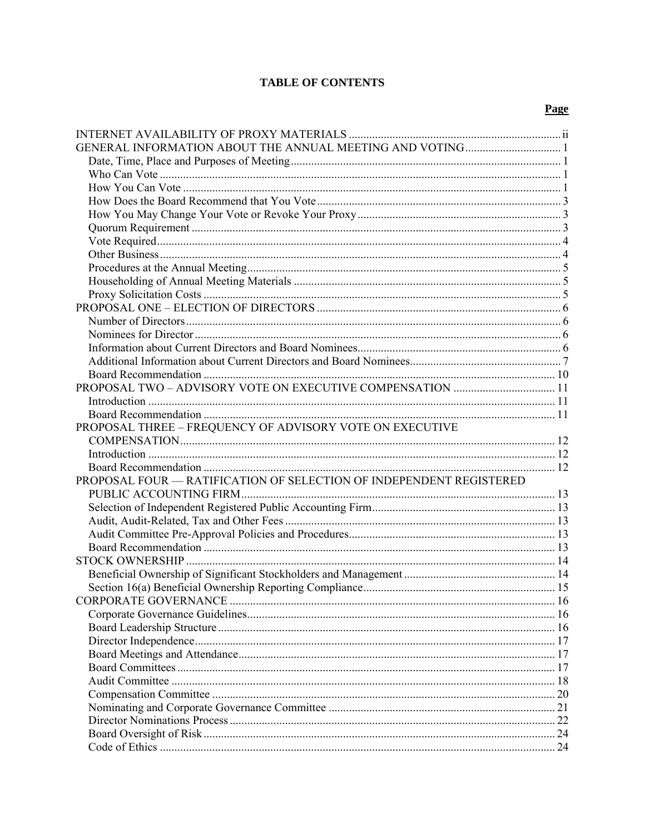# **TABLE OF CONTENTS**

# Page

| PROPOSAL THREE – FREQUENCY OF ADVISORY VOTE ON EXECUTIVE            |    |
|---------------------------------------------------------------------|----|
|                                                                     |    |
|                                                                     |    |
|                                                                     |    |
| PROPOSAL FOUR - RATIFICATION OF SELECTION OF INDEPENDENT REGISTERED |    |
|                                                                     |    |
|                                                                     |    |
|                                                                     |    |
|                                                                     |    |
|                                                                     |    |
|                                                                     |    |
|                                                                     |    |
|                                                                     |    |
|                                                                     |    |
|                                                                     |    |
|                                                                     |    |
|                                                                     |    |
|                                                                     |    |
|                                                                     |    |
|                                                                     |    |
|                                                                     |    |
|                                                                     | 21 |
|                                                                     |    |
|                                                                     |    |
|                                                                     |    |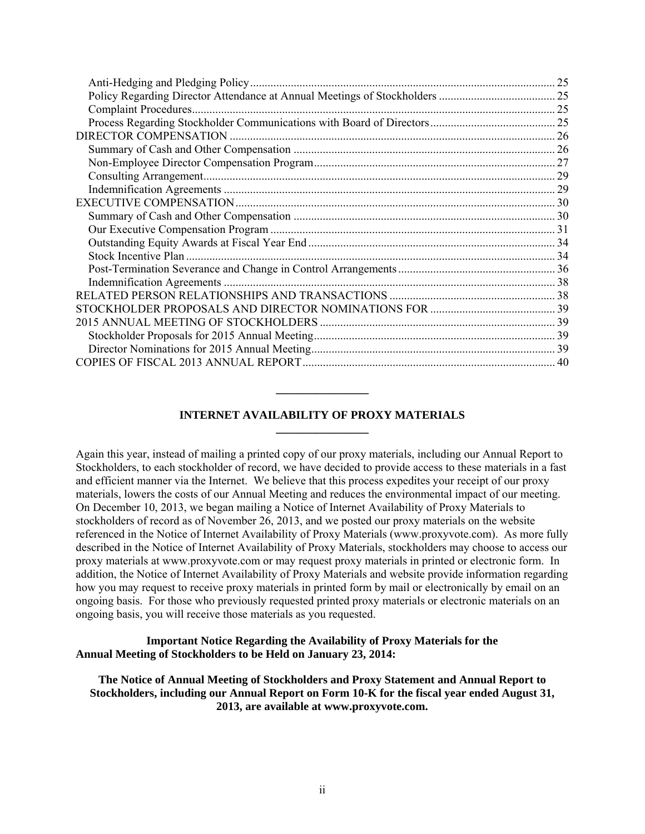| 25 |
|----|
|    |
|    |
|    |
|    |
|    |
|    |
|    |
|    |
|    |
|    |
|    |
|    |
|    |
|    |
|    |
|    |
|    |
|    |
|    |
|    |
|    |

# **INTERNET AVAILABILITY OF PROXY MATERIALS \_\_\_\_\_\_\_\_\_\_\_\_\_\_\_\_**

**\_\_\_\_\_\_\_\_\_\_\_\_\_\_\_\_** 

Again this year, instead of mailing a printed copy of our proxy materials, including our Annual Report to Stockholders, to each stockholder of record, we have decided to provide access to these materials in a fast and efficient manner via the Internet. We believe that this process expedites your receipt of our proxy materials, lowers the costs of our Annual Meeting and reduces the environmental impact of our meeting. On December 10, 2013, we began mailing a Notice of Internet Availability of Proxy Materials to stockholders of record as of November 26, 2013, and we posted our proxy materials on the website referenced in the Notice of Internet Availability of Proxy Materials (www.proxyvote.com). As more fully described in the Notice of Internet Availability of Proxy Materials, stockholders may choose to access our proxy materials at www.proxyvote.com or may request proxy materials in printed or electronic form. In addition, the Notice of Internet Availability of Proxy Materials and website provide information regarding how you may request to receive proxy materials in printed form by mail or electronically by email on an ongoing basis. For those who previously requested printed proxy materials or electronic materials on an ongoing basis, you will receive those materials as you requested.

**Important Notice Regarding the Availability of Proxy Materials for the Annual Meeting of Stockholders to be Held on January 23, 2014:** 

**The Notice of Annual Meeting of Stockholders and Proxy Statement and Annual Report to Stockholders, including our Annual Report on Form 10-K for the fiscal year ended August 31, 2013, are available at www.proxyvote.com.**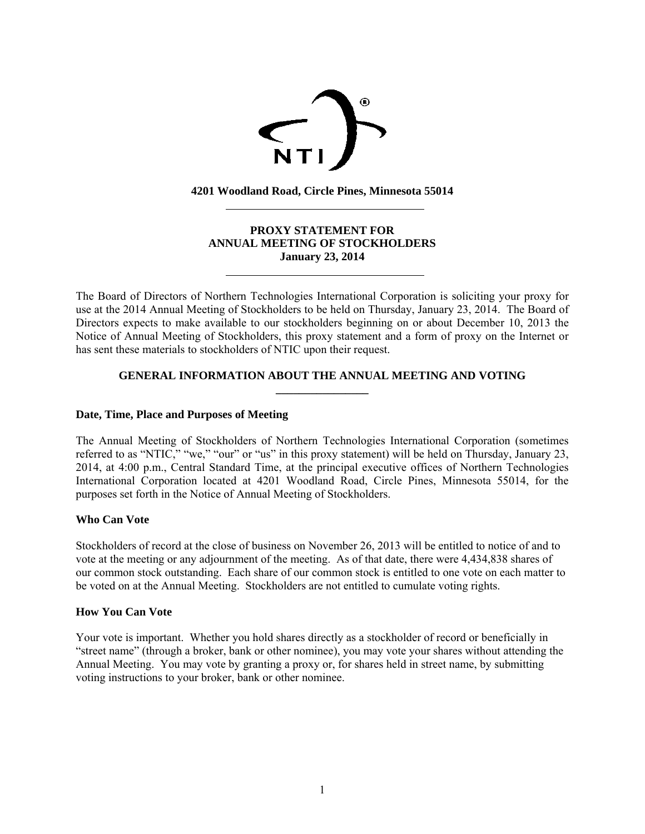

**4201 Woodland Road, Circle Pines, Minnesota 55014** 

# **PROXY STATEMENT FOR ANNUAL MEETING OF STOCKHOLDERS January 23, 2014**

The Board of Directors of Northern Technologies International Corporation is soliciting your proxy for use at the 2014 Annual Meeting of Stockholders to be held on Thursday, January 23, 2014. The Board of Directors expects to make available to our stockholders beginning on or about December 10, 2013 the Notice of Annual Meeting of Stockholders, this proxy statement and a form of proxy on the Internet or has sent these materials to stockholders of NTIC upon their request.

# **GENERAL INFORMATION ABOUT THE ANNUAL MEETING AND VOTING \_\_\_\_\_\_\_\_\_\_\_\_\_\_\_\_**

# **Date, Time, Place and Purposes of Meeting**

 $\overline{a}$ 

 $\overline{a}$ 

The Annual Meeting of Stockholders of Northern Technologies International Corporation (sometimes referred to as "NTIC," "we," "our" or "us" in this proxy statement) will be held on Thursday, January 23, 2014, at 4:00 p.m., Central Standard Time, at the principal executive offices of Northern Technologies International Corporation located at 4201 Woodland Road, Circle Pines, Minnesota 55014, for the purposes set forth in the Notice of Annual Meeting of Stockholders.

# **Who Can Vote**

Stockholders of record at the close of business on November 26, 2013 will be entitled to notice of and to vote at the meeting or any adjournment of the meeting. As of that date, there were 4,434,838 shares of our common stock outstanding. Each share of our common stock is entitled to one vote on each matter to be voted on at the Annual Meeting. Stockholders are not entitled to cumulate voting rights.

# **How You Can Vote**

Your vote is important. Whether you hold shares directly as a stockholder of record or beneficially in "street name" (through a broker, bank or other nominee), you may vote your shares without attending the Annual Meeting. You may vote by granting a proxy or, for shares held in street name, by submitting voting instructions to your broker, bank or other nominee.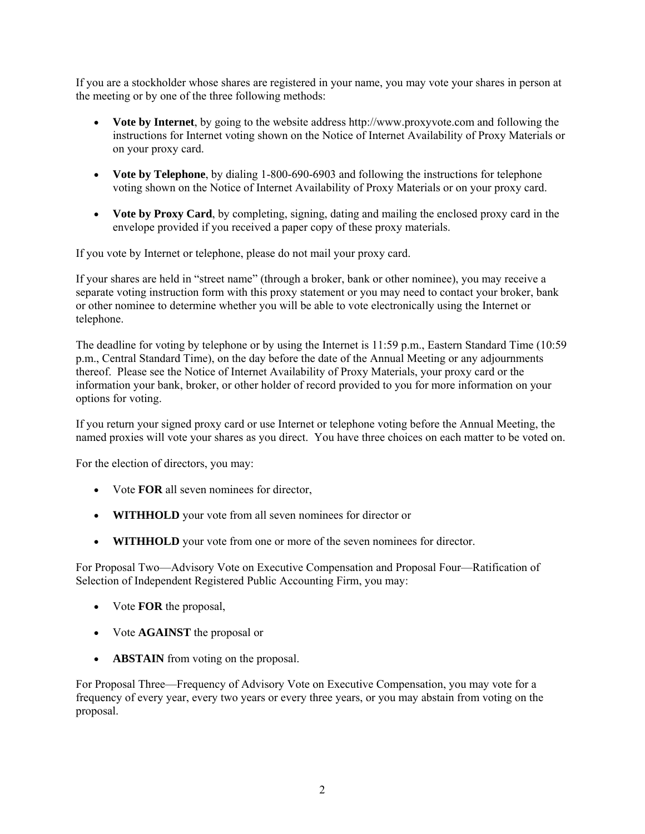If you are a stockholder whose shares are registered in your name, you may vote your shares in person at the meeting or by one of the three following methods:

- **Vote by Internet**, by going to the website address http://www.proxyvote.com and following the instructions for Internet voting shown on the Notice of Internet Availability of Proxy Materials or on your proxy card.
- **Vote by Telephone**, by dialing 1-800-690-6903 and following the instructions for telephone voting shown on the Notice of Internet Availability of Proxy Materials or on your proxy card.
- **Vote by Proxy Card**, by completing, signing, dating and mailing the enclosed proxy card in the envelope provided if you received a paper copy of these proxy materials.

If you vote by Internet or telephone, please do not mail your proxy card.

If your shares are held in "street name" (through a broker, bank or other nominee), you may receive a separate voting instruction form with this proxy statement or you may need to contact your broker, bank or other nominee to determine whether you will be able to vote electronically using the Internet or telephone.

The deadline for voting by telephone or by using the Internet is 11:59 p.m., Eastern Standard Time (10:59 p.m., Central Standard Time), on the day before the date of the Annual Meeting or any adjournments thereof. Please see the Notice of Internet Availability of Proxy Materials, your proxy card or the information your bank, broker, or other holder of record provided to you for more information on your options for voting.

If you return your signed proxy card or use Internet or telephone voting before the Annual Meeting, the named proxies will vote your shares as you direct. You have three choices on each matter to be voted on.

For the election of directors, you may:

- Vote **FOR** all seven nominees for director,
- **WITHHOLD** your vote from all seven nominees for director or
- **WITHHOLD** your vote from one or more of the seven nominees for director.

For Proposal Two—Advisory Vote on Executive Compensation and Proposal Four—Ratification of Selection of Independent Registered Public Accounting Firm, you may:

- Vote **FOR** the proposal,
- Vote **AGAINST** the proposal or
- **ABSTAIN** from voting on the proposal.

For Proposal Three—Frequency of Advisory Vote on Executive Compensation, you may vote for a frequency of every year, every two years or every three years, or you may abstain from voting on the proposal.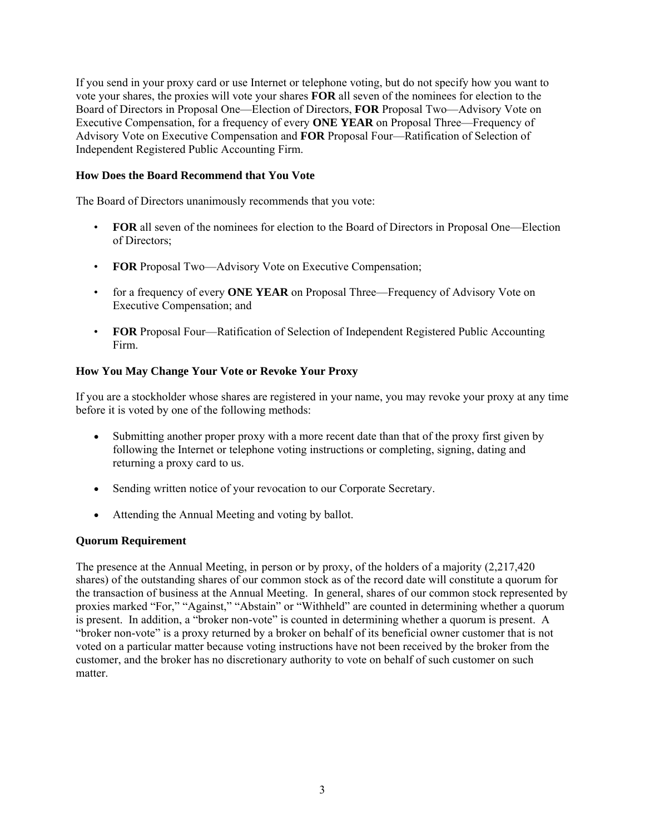If you send in your proxy card or use Internet or telephone voting, but do not specify how you want to vote your shares, the proxies will vote your shares **FOR** all seven of the nominees for election to the Board of Directors in Proposal One—Election of Directors, **FOR** Proposal Two—Advisory Vote on Executive Compensation, for a frequency of every **ONE YEAR** on Proposal Three—Frequency of Advisory Vote on Executive Compensation and **FOR** Proposal Four—Ratification of Selection of Independent Registered Public Accounting Firm.

# **How Does the Board Recommend that You Vote**

The Board of Directors unanimously recommends that you vote:

- **FOR** all seven of the nominees for election to the Board of Directors in Proposal One—Election of Directors;
- **FOR** Proposal Two—Advisory Vote on Executive Compensation;
- for a frequency of every **ONE YEAR** on Proposal Three—Frequency of Advisory Vote on Executive Compensation; and
- **FOR** Proposal Four—Ratification of Selection of Independent Registered Public Accounting Firm.

# **How You May Change Your Vote or Revoke Your Proxy**

If you are a stockholder whose shares are registered in your name, you may revoke your proxy at any time before it is voted by one of the following methods:

- Submitting another proper proxy with a more recent date than that of the proxy first given by following the Internet or telephone voting instructions or completing, signing, dating and returning a proxy card to us.
- Sending written notice of your revocation to our Corporate Secretary.
- Attending the Annual Meeting and voting by ballot.

#### **Quorum Requirement**

The presence at the Annual Meeting, in person or by proxy, of the holders of a majority (2,217,420 shares) of the outstanding shares of our common stock as of the record date will constitute a quorum for the transaction of business at the Annual Meeting. In general, shares of our common stock represented by proxies marked "For," "Against," "Abstain" or "Withheld" are counted in determining whether a quorum is present. In addition, a "broker non-vote" is counted in determining whether a quorum is present. A "broker non-vote" is a proxy returned by a broker on behalf of its beneficial owner customer that is not voted on a particular matter because voting instructions have not been received by the broker from the customer, and the broker has no discretionary authority to vote on behalf of such customer on such matter.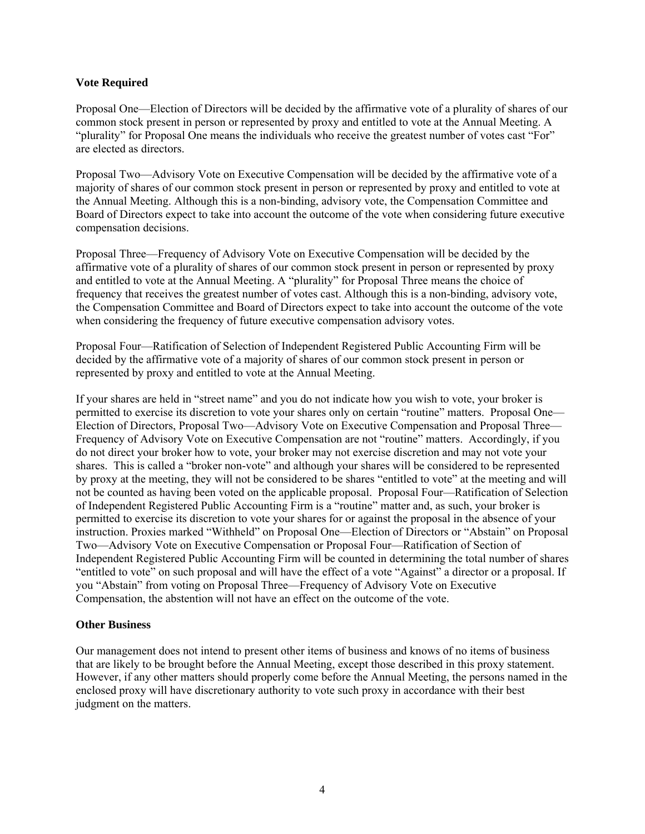## **Vote Required**

Proposal One—Election of Directors will be decided by the affirmative vote of a plurality of shares of our common stock present in person or represented by proxy and entitled to vote at the Annual Meeting. A "plurality" for Proposal One means the individuals who receive the greatest number of votes cast "For" are elected as directors.

Proposal Two—Advisory Vote on Executive Compensation will be decided by the affirmative vote of a majority of shares of our common stock present in person or represented by proxy and entitled to vote at the Annual Meeting. Although this is a non-binding, advisory vote, the Compensation Committee and Board of Directors expect to take into account the outcome of the vote when considering future executive compensation decisions.

Proposal Three—Frequency of Advisory Vote on Executive Compensation will be decided by the affirmative vote of a plurality of shares of our common stock present in person or represented by proxy and entitled to vote at the Annual Meeting. A "plurality" for Proposal Three means the choice of frequency that receives the greatest number of votes cast. Although this is a non-binding, advisory vote, the Compensation Committee and Board of Directors expect to take into account the outcome of the vote when considering the frequency of future executive compensation advisory votes.

Proposal Four—Ratification of Selection of Independent Registered Public Accounting Firm will be decided by the affirmative vote of a majority of shares of our common stock present in person or represented by proxy and entitled to vote at the Annual Meeting.

If your shares are held in "street name" and you do not indicate how you wish to vote, your broker is permitted to exercise its discretion to vote your shares only on certain "routine" matters. Proposal One— Election of Directors, Proposal Two—Advisory Vote on Executive Compensation and Proposal Three— Frequency of Advisory Vote on Executive Compensation are not "routine" matters. Accordingly, if you do not direct your broker how to vote, your broker may not exercise discretion and may not vote your shares. This is called a "broker non-vote" and although your shares will be considered to be represented by proxy at the meeting, they will not be considered to be shares "entitled to vote" at the meeting and will not be counted as having been voted on the applicable proposal. Proposal Four—Ratification of Selection of Independent Registered Public Accounting Firm is a "routine" matter and, as such, your broker is permitted to exercise its discretion to vote your shares for or against the proposal in the absence of your instruction. Proxies marked "Withheld" on Proposal One—Election of Directors or "Abstain" on Proposal Two—Advisory Vote on Executive Compensation or Proposal Four—Ratification of Section of Independent Registered Public Accounting Firm will be counted in determining the total number of shares "entitled to vote" on such proposal and will have the effect of a vote "Against" a director or a proposal. If you "Abstain" from voting on Proposal Three—Frequency of Advisory Vote on Executive Compensation, the abstention will not have an effect on the outcome of the vote.

# **Other Business**

Our management does not intend to present other items of business and knows of no items of business that are likely to be brought before the Annual Meeting, except those described in this proxy statement. However, if any other matters should properly come before the Annual Meeting, the persons named in the enclosed proxy will have discretionary authority to vote such proxy in accordance with their best judgment on the matters.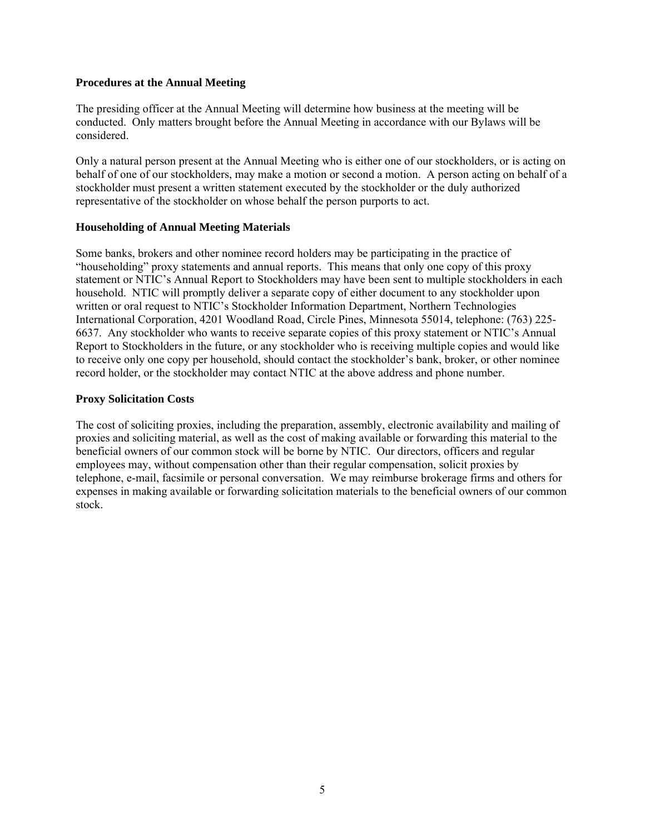#### **Procedures at the Annual Meeting**

The presiding officer at the Annual Meeting will determine how business at the meeting will be conducted. Only matters brought before the Annual Meeting in accordance with our Bylaws will be considered.

Only a natural person present at the Annual Meeting who is either one of our stockholders, or is acting on behalf of one of our stockholders, may make a motion or second a motion. A person acting on behalf of a stockholder must present a written statement executed by the stockholder or the duly authorized representative of the stockholder on whose behalf the person purports to act.

#### **Householding of Annual Meeting Materials**

Some banks, brokers and other nominee record holders may be participating in the practice of "householding" proxy statements and annual reports. This means that only one copy of this proxy statement or NTIC's Annual Report to Stockholders may have been sent to multiple stockholders in each household. NTIC will promptly deliver a separate copy of either document to any stockholder upon written or oral request to NTIC's Stockholder Information Department, Northern Technologies International Corporation, 4201 Woodland Road, Circle Pines, Minnesota 55014, telephone: (763) 225- 6637. Any stockholder who wants to receive separate copies of this proxy statement or NTIC's Annual Report to Stockholders in the future, or any stockholder who is receiving multiple copies and would like to receive only one copy per household, should contact the stockholder's bank, broker, or other nominee record holder, or the stockholder may contact NTIC at the above address and phone number.

#### **Proxy Solicitation Costs**

The cost of soliciting proxies, including the preparation, assembly, electronic availability and mailing of proxies and soliciting material, as well as the cost of making available or forwarding this material to the beneficial owners of our common stock will be borne by NTIC. Our directors, officers and regular employees may, without compensation other than their regular compensation, solicit proxies by telephone, e-mail, facsimile or personal conversation. We may reimburse brokerage firms and others for expenses in making available or forwarding solicitation materials to the beneficial owners of our common stock.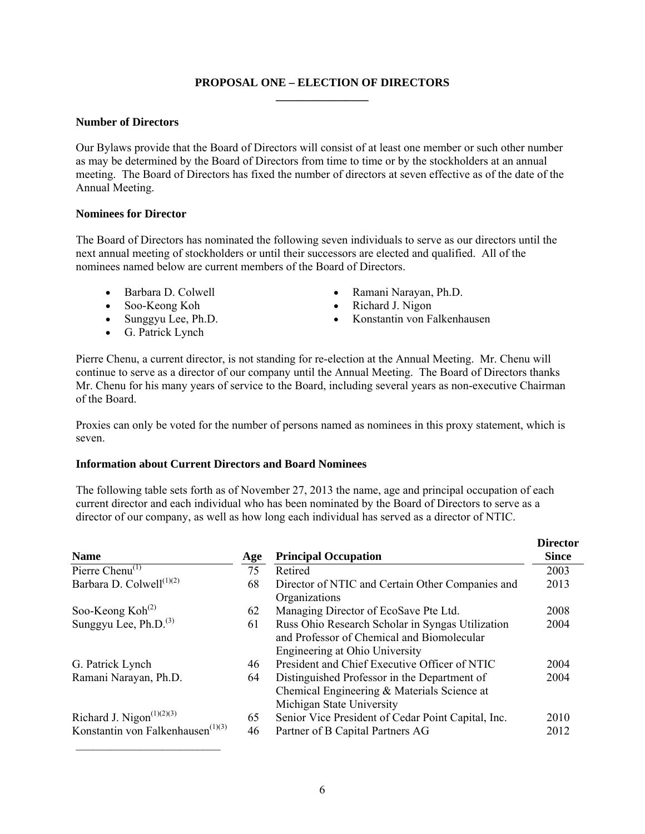# **PROPOSAL ONE – ELECTION OF DIRECTORS \_\_\_\_\_\_\_\_\_\_\_\_\_\_\_\_**

# **Number of Directors**

Our Bylaws provide that the Board of Directors will consist of at least one member or such other number as may be determined by the Board of Directors from time to time or by the stockholders at an annual meeting. The Board of Directors has fixed the number of directors at seven effective as of the date of the Annual Meeting.

# **Nominees for Director**

The Board of Directors has nominated the following seven individuals to serve as our directors until the next annual meeting of stockholders or until their successors are elected and qualified. All of the nominees named below are current members of the Board of Directors.

- 
- Soo-Keong Koh Richard J. Nigon
- 
- G. Patrick Lynch
- Barbara D. Colwell Ramani Narayan, Ph.D.
	-
- Sunggyu Lee, Ph.D. Konstantin von Falkenhausen

Pierre Chenu, a current director, is not standing for re-election at the Annual Meeting. Mr. Chenu will continue to serve as a director of our company until the Annual Meeting. The Board of Directors thanks Mr. Chenu for his many years of service to the Board, including several years as non-executive Chairman of the Board.

Proxies can only be voted for the number of persons named as nominees in this proxy statement, which is seven.

# **Information about Current Directors and Board Nominees**

The following table sets forth as of November 27, 2013 the name, age and principal occupation of each current director and each individual who has been nominated by the Board of Directors to serve as a director of our company, as well as how long each individual has served as a director of NTIC.

| <b>Name</b>                          | Age | <b>Principal Occupation</b>                                                                                                      | <b>Director</b><br><b>Since</b> |
|--------------------------------------|-----|----------------------------------------------------------------------------------------------------------------------------------|---------------------------------|
| Pierre Chenu <sup>(1)</sup>          | 75  | Retired                                                                                                                          | 2003                            |
| Barbara D. Colwell <sup>(1)(2)</sup> | 68  | Director of NTIC and Certain Other Companies and<br>Organizations                                                                | 2013                            |
| Soo-Keong $Koh(2)$                   | 62  | Managing Director of EcoSave Pte Ltd.                                                                                            | 2008                            |
| Sunggyu Lee, Ph.D. <sup>(3)</sup>    | 61  | Russ Ohio Research Scholar in Syngas Utilization<br>and Professor of Chemical and Biomolecular<br>Engineering at Ohio University | 2004                            |
| G. Patrick Lynch                     | 46  | President and Chief Executive Officer of NTIC                                                                                    | 2004                            |
| Ramani Narayan, Ph.D.                | 64  | Distinguished Professor in the Department of<br>Chemical Engineering & Materials Science at<br>Michigan State University         | 2004                            |
| Richard J. Nigon $(1)(2)(3)$         | 65  | Senior Vice President of Cedar Point Capital, Inc.                                                                               | 2010                            |
| Konstantin von Falkenhausen $(1)(3)$ | 46  | Partner of B Capital Partners AG                                                                                                 | 2012                            |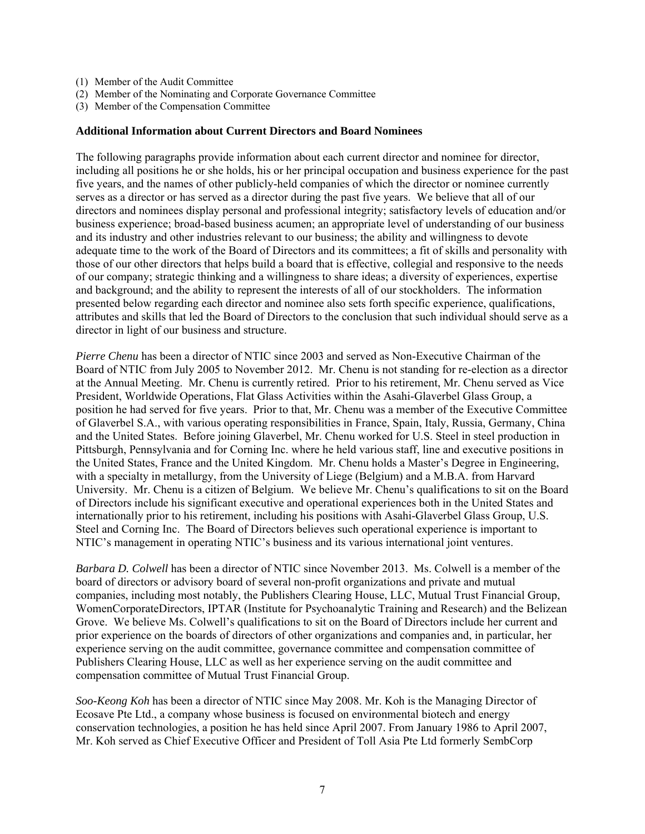- (1) Member of the Audit Committee
- (2) Member of the Nominating and Corporate Governance Committee
- (3) Member of the Compensation Committee

#### **Additional Information about Current Directors and Board Nominees**

The following paragraphs provide information about each current director and nominee for director, including all positions he or she holds, his or her principal occupation and business experience for the past five years, and the names of other publicly-held companies of which the director or nominee currently serves as a director or has served as a director during the past five years. We believe that all of our directors and nominees display personal and professional integrity; satisfactory levels of education and/or business experience; broad-based business acumen; an appropriate level of understanding of our business and its industry and other industries relevant to our business; the ability and willingness to devote adequate time to the work of the Board of Directors and its committees; a fit of skills and personality with those of our other directors that helps build a board that is effective, collegial and responsive to the needs of our company; strategic thinking and a willingness to share ideas; a diversity of experiences, expertise and background; and the ability to represent the interests of all of our stockholders. The information presented below regarding each director and nominee also sets forth specific experience, qualifications, attributes and skills that led the Board of Directors to the conclusion that such individual should serve as a director in light of our business and structure.

*Pierre Chenu* has been a director of NTIC since 2003 and served as Non-Executive Chairman of the Board of NTIC from July 2005 to November 2012. Mr. Chenu is not standing for re-election as a director at the Annual Meeting. Mr. Chenu is currently retired. Prior to his retirement, Mr. Chenu served as Vice President, Worldwide Operations, Flat Glass Activities within the Asahi-Glaverbel Glass Group, a position he had served for five years. Prior to that, Mr. Chenu was a member of the Executive Committee of Glaverbel S.A., with various operating responsibilities in France, Spain, Italy, Russia, Germany, China and the United States. Before joining Glaverbel, Mr. Chenu worked for U.S. Steel in steel production in Pittsburgh, Pennsylvania and for Corning Inc. where he held various staff, line and executive positions in the United States, France and the United Kingdom. Mr. Chenu holds a Master's Degree in Engineering, with a specialty in metallurgy, from the University of Liege (Belgium) and a M.B.A. from Harvard University. Mr. Chenu is a citizen of Belgium. We believe Mr. Chenu's qualifications to sit on the Board of Directors include his significant executive and operational experiences both in the United States and internationally prior to his retirement, including his positions with Asahi-Glaverbel Glass Group, U.S. Steel and Corning Inc. The Board of Directors believes such operational experience is important to NTIC's management in operating NTIC's business and its various international joint ventures.

*Barbara D. Colwell* has been a director of NTIC since November 2013. Ms. Colwell is a member of the board of directors or advisory board of several non-profit organizations and private and mutual companies, including most notably, the Publishers Clearing House, LLC, Mutual Trust Financial Group, WomenCorporateDirectors, IPTAR (Institute for Psychoanalytic Training and Research) and the Belizean Grove. We believe Ms. Colwell's qualifications to sit on the Board of Directors include her current and prior experience on the boards of directors of other organizations and companies and, in particular, her experience serving on the audit committee, governance committee and compensation committee of Publishers Clearing House, LLC as well as her experience serving on the audit committee and compensation committee of Mutual Trust Financial Group.

*Soo-Keong Koh* has been a director of NTIC since May 2008. Mr. Koh is the Managing Director of Ecosave Pte Ltd., a company whose business is focused on environmental biotech and energy conservation technologies, a position he has held since April 2007. From January 1986 to April 2007, Mr. Koh served as Chief Executive Officer and President of Toll Asia Pte Ltd formerly SembCorp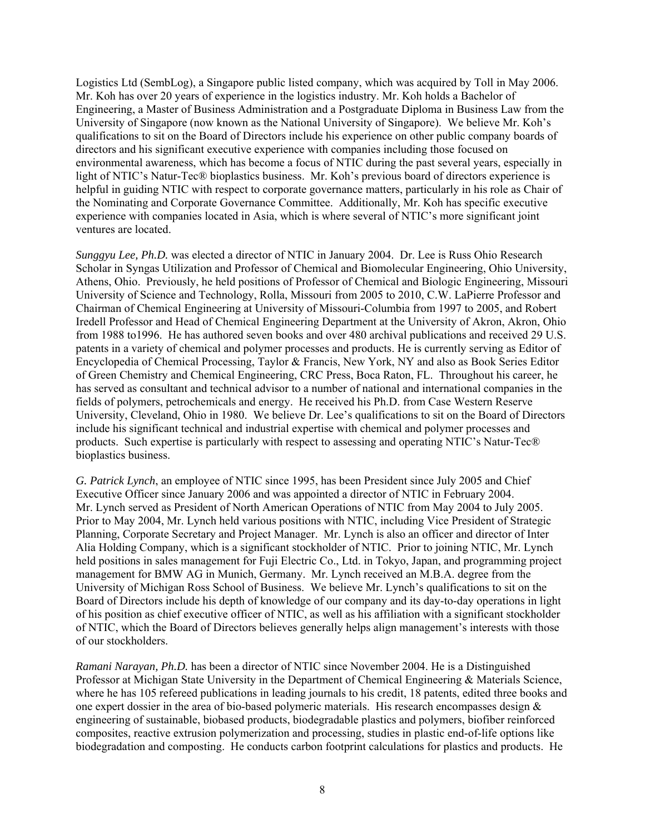Logistics Ltd (SembLog), a Singapore public listed company, which was acquired by Toll in May 2006. Mr. Koh has over 20 years of experience in the logistics industry. Mr. Koh holds a Bachelor of Engineering, a Master of Business Administration and a Postgraduate Diploma in Business Law from the University of Singapore (now known as the National University of Singapore). We believe Mr. Koh's qualifications to sit on the Board of Directors include his experience on other public company boards of directors and his significant executive experience with companies including those focused on environmental awareness, which has become a focus of NTIC during the past several years, especially in light of NTIC's Natur-Tec® bioplastics business. Mr. Koh's previous board of directors experience is helpful in guiding NTIC with respect to corporate governance matters, particularly in his role as Chair of the Nominating and Corporate Governance Committee. Additionally, Mr. Koh has specific executive experience with companies located in Asia, which is where several of NTIC's more significant joint ventures are located.

*Sunggyu Lee, Ph.D.* was elected a director of NTIC in January 2004. Dr. Lee is Russ Ohio Research Scholar in Syngas Utilization and Professor of Chemical and Biomolecular Engineering, Ohio University, Athens, Ohio. Previously, he held positions of Professor of Chemical and Biologic Engineering, Missouri University of Science and Technology, Rolla, Missouri from 2005 to 2010, C.W. LaPierre Professor and Chairman of Chemical Engineering at University of Missouri-Columbia from 1997 to 2005, and Robert Iredell Professor and Head of Chemical Engineering Department at the University of Akron, Akron, Ohio from 1988 to1996. He has authored seven books and over 480 archival publications and received 29 U.S. patents in a variety of chemical and polymer processes and products. He is currently serving as Editor of Encyclopedia of Chemical Processing, Taylor & Francis, New York, NY and also as Book Series Editor of Green Chemistry and Chemical Engineering, CRC Press, Boca Raton, FL. Throughout his career, he has served as consultant and technical advisor to a number of national and international companies in the fields of polymers, petrochemicals and energy. He received his Ph.D. from Case Western Reserve University, Cleveland, Ohio in 1980. We believe Dr. Lee's qualifications to sit on the Board of Directors include his significant technical and industrial expertise with chemical and polymer processes and products. Such expertise is particularly with respect to assessing and operating NTIC's Natur-Tec® bioplastics business.

*G. Patrick Lynch*, an employee of NTIC since 1995, has been President since July 2005 and Chief Executive Officer since January 2006 and was appointed a director of NTIC in February 2004. Mr. Lynch served as President of North American Operations of NTIC from May 2004 to July 2005. Prior to May 2004, Mr. Lynch held various positions with NTIC, including Vice President of Strategic Planning, Corporate Secretary and Project Manager. Mr. Lynch is also an officer and director of Inter Alia Holding Company, which is a significant stockholder of NTIC. Prior to joining NTIC, Mr. Lynch held positions in sales management for Fuji Electric Co., Ltd. in Tokyo, Japan, and programming project management for BMW AG in Munich, Germany. Mr. Lynch received an M.B.A. degree from the University of Michigan Ross School of Business. We believe Mr. Lynch's qualifications to sit on the Board of Directors include his depth of knowledge of our company and its day-to-day operations in light of his position as chief executive officer of NTIC, as well as his affiliation with a significant stockholder of NTIC, which the Board of Directors believes generally helps align management's interests with those of our stockholders.

*Ramani Narayan, Ph.D.* has been a director of NTIC since November 2004. He is a Distinguished Professor at Michigan State University in the Department of Chemical Engineering & Materials Science, where he has 105 refereed publications in leading journals to his credit, 18 patents, edited three books and one expert dossier in the area of bio-based polymeric materials. His research encompasses design  $\&$ engineering of sustainable, biobased products, biodegradable plastics and polymers, biofiber reinforced composites, reactive extrusion polymerization and processing, studies in plastic end-of-life options like biodegradation and composting. He conducts carbon footprint calculations for plastics and products. He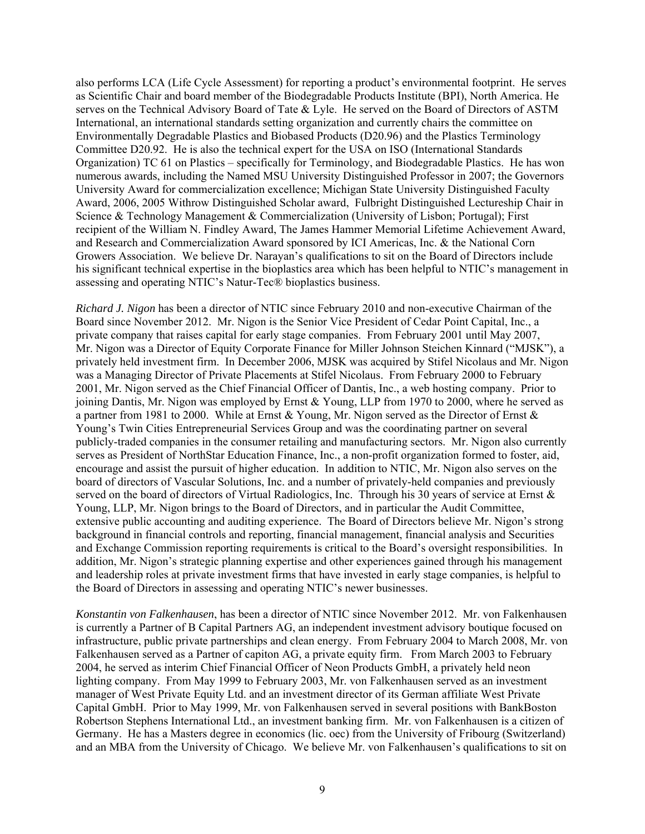also performs LCA (Life Cycle Assessment) for reporting a product's environmental footprint. He serves as Scientific Chair and board member of the Biodegradable Products Institute (BPI), North America. He serves on the Technical Advisory Board of Tate & Lyle. He served on the Board of Directors of ASTM International, an international standards setting organization and currently chairs the committee on Environmentally Degradable Plastics and Biobased Products (D20.96) and the Plastics Terminology Committee D20.92. He is also the technical expert for the USA on ISO (International Standards Organization) TC 61 on Plastics – specifically for Terminology, and Biodegradable Plastics. He has won numerous awards, including the Named MSU University Distinguished Professor in 2007; the Governors University Award for commercialization excellence; Michigan State University Distinguished Faculty Award, 2006, 2005 Withrow Distinguished Scholar award, Fulbright Distinguished Lectureship Chair in Science & Technology Management & Commercialization (University of Lisbon; Portugal); First recipient of the William N. Findley Award, The James Hammer Memorial Lifetime Achievement Award, and Research and Commercialization Award sponsored by ICI Americas, Inc. & the National Corn Growers Association. We believe Dr. Narayan's qualifications to sit on the Board of Directors include his significant technical expertise in the bioplastics area which has been helpful to NTIC's management in assessing and operating NTIC's Natur-Tec® bioplastics business.

*Richard J. Nigon* has been a director of NTIC since February 2010 and non-executive Chairman of the Board since November 2012. Mr. Nigon is the Senior Vice President of Cedar Point Capital, Inc., a private company that raises capital for early stage companies. From February 2001 until May 2007, Mr. Nigon was a Director of Equity Corporate Finance for Miller Johnson Steichen Kinnard ("MJSK"), a privately held investment firm. In December 2006, MJSK was acquired by Stifel Nicolaus and Mr. Nigon was a Managing Director of Private Placements at Stifel Nicolaus. From February 2000 to February 2001, Mr. Nigon served as the Chief Financial Officer of Dantis, Inc., a web hosting company. Prior to joining Dantis, Mr. Nigon was employed by Ernst & Young, LLP from 1970 to 2000, where he served as a partner from 1981 to 2000. While at Ernst & Young, Mr. Nigon served as the Director of Ernst  $\&$ Young's Twin Cities Entrepreneurial Services Group and was the coordinating partner on several publicly-traded companies in the consumer retailing and manufacturing sectors. Mr. Nigon also currently serves as President of NorthStar Education Finance, Inc., a non-profit organization formed to foster, aid, encourage and assist the pursuit of higher education. In addition to NTIC, Mr. Nigon also serves on the board of directors of Vascular Solutions, Inc. and a number of privately-held companies and previously served on the board of directors of Virtual Radiologics, Inc. Through his 30 years of service at Ernst & Young, LLP, Mr. Nigon brings to the Board of Directors, and in particular the Audit Committee, extensive public accounting and auditing experience. The Board of Directors believe Mr. Nigon's strong background in financial controls and reporting, financial management, financial analysis and Securities and Exchange Commission reporting requirements is critical to the Board's oversight responsibilities. In addition, Mr. Nigon's strategic planning expertise and other experiences gained through his management and leadership roles at private investment firms that have invested in early stage companies, is helpful to the Board of Directors in assessing and operating NTIC's newer businesses.

*Konstantin von Falkenhausen*, has been a director of NTIC since November 2012. Mr. von Falkenhausen is currently a Partner of B Capital Partners AG, an independent investment advisory boutique focused on infrastructure, public private partnerships and clean energy. From February 2004 to March 2008, Mr. von Falkenhausen served as a Partner of capiton AG, a private equity firm. From March 2003 to February 2004, he served as interim Chief Financial Officer of Neon Products GmbH, a privately held neon lighting company. From May 1999 to February 2003, Mr. von Falkenhausen served as an investment manager of West Private Equity Ltd. and an investment director of its German affiliate West Private Capital GmbH. Prior to May 1999, Mr. von Falkenhausen served in several positions with BankBoston Robertson Stephens International Ltd., an investment banking firm. Mr. von Falkenhausen is a citizen of Germany. He has a Masters degree in economics (lic. oec) from the University of Fribourg (Switzerland) and an MBA from the University of Chicago. We believe Mr. von Falkenhausen's qualifications to sit on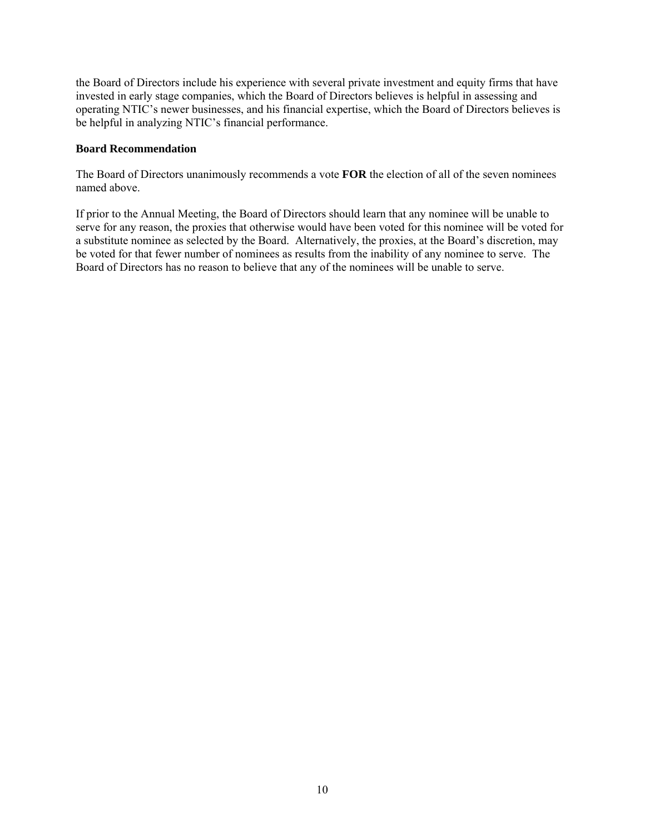the Board of Directors include his experience with several private investment and equity firms that have invested in early stage companies, which the Board of Directors believes is helpful in assessing and operating NTIC's newer businesses, and his financial expertise, which the Board of Directors believes is be helpful in analyzing NTIC's financial performance.

#### **Board Recommendation**

The Board of Directors unanimously recommends a vote **FOR** the election of all of the seven nominees named above.

If prior to the Annual Meeting, the Board of Directors should learn that any nominee will be unable to serve for any reason, the proxies that otherwise would have been voted for this nominee will be voted for a substitute nominee as selected by the Board. Alternatively, the proxies, at the Board's discretion, may be voted for that fewer number of nominees as results from the inability of any nominee to serve. The Board of Directors has no reason to believe that any of the nominees will be unable to serve.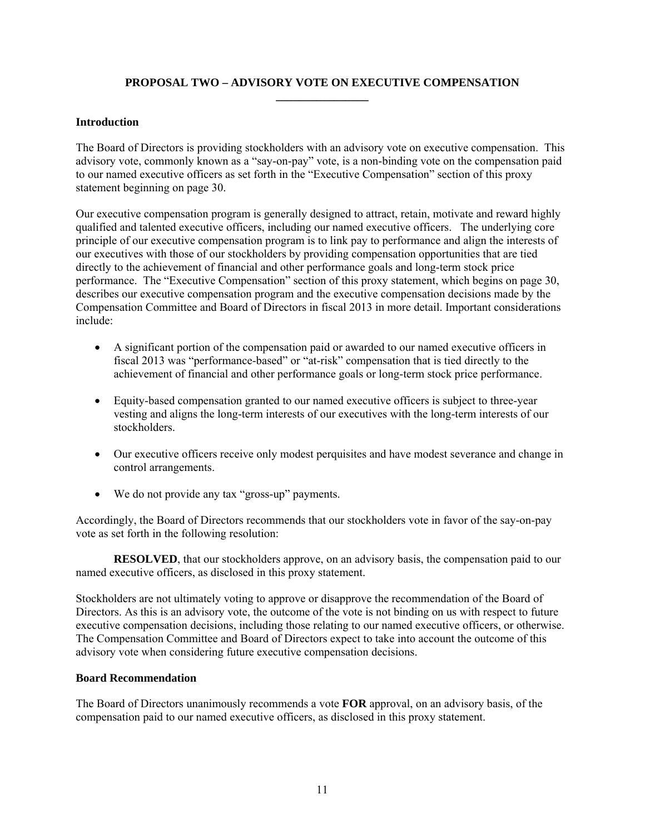# **PROPOSAL TWO – ADVISORY VOTE ON EXECUTIVE COMPENSATION \_\_\_\_\_\_\_\_\_\_\_\_\_\_\_\_**

# **Introduction**

The Board of Directors is providing stockholders with an advisory vote on executive compensation. This advisory vote, commonly known as a "say-on-pay" vote, is a non-binding vote on the compensation paid to our named executive officers as set forth in the "Executive Compensation" section of this proxy statement beginning on page 30.

Our executive compensation program is generally designed to attract, retain, motivate and reward highly qualified and talented executive officers, including our named executive officers. The underlying core principle of our executive compensation program is to link pay to performance and align the interests of our executives with those of our stockholders by providing compensation opportunities that are tied directly to the achievement of financial and other performance goals and long-term stock price performance. The "Executive Compensation" section of this proxy statement, which begins on page 30, describes our executive compensation program and the executive compensation decisions made by the Compensation Committee and Board of Directors in fiscal 2013 in more detail. Important considerations include:

- A significant portion of the compensation paid or awarded to our named executive officers in fiscal 2013 was "performance-based" or "at-risk" compensation that is tied directly to the achievement of financial and other performance goals or long-term stock price performance.
- Equity-based compensation granted to our named executive officers is subject to three-year vesting and aligns the long-term interests of our executives with the long-term interests of our stockholders.
- Our executive officers receive only modest perquisites and have modest severance and change in control arrangements.
- We do not provide any tax "gross-up" payments.

Accordingly, the Board of Directors recommends that our stockholders vote in favor of the say-on-pay vote as set forth in the following resolution:

**RESOLVED**, that our stockholders approve, on an advisory basis, the compensation paid to our named executive officers, as disclosed in this proxy statement.

Stockholders are not ultimately voting to approve or disapprove the recommendation of the Board of Directors. As this is an advisory vote, the outcome of the vote is not binding on us with respect to future executive compensation decisions, including those relating to our named executive officers, or otherwise. The Compensation Committee and Board of Directors expect to take into account the outcome of this advisory vote when considering future executive compensation decisions.

# **Board Recommendation**

The Board of Directors unanimously recommends a vote **FOR** approval, on an advisory basis, of the compensation paid to our named executive officers, as disclosed in this proxy statement.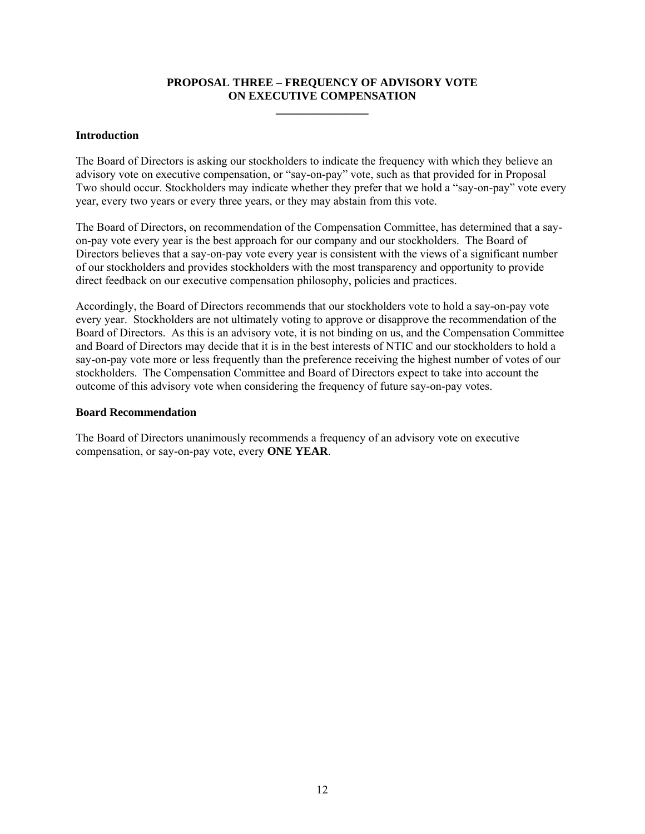# **PROPOSAL THREE – FREQUENCY OF ADVISORY VOTE ON EXECUTIVE COMPENSATION**

**\_\_\_\_\_\_\_\_\_\_\_\_\_\_\_\_** 

#### **Introduction**

The Board of Directors is asking our stockholders to indicate the frequency with which they believe an advisory vote on executive compensation, or "say-on-pay" vote, such as that provided for in Proposal Two should occur. Stockholders may indicate whether they prefer that we hold a "say-on-pay" vote every year, every two years or every three years, or they may abstain from this vote.

The Board of Directors, on recommendation of the Compensation Committee, has determined that a sayon-pay vote every year is the best approach for our company and our stockholders. The Board of Directors believes that a say-on-pay vote every year is consistent with the views of a significant number of our stockholders and provides stockholders with the most transparency and opportunity to provide direct feedback on our executive compensation philosophy, policies and practices.

Accordingly, the Board of Directors recommends that our stockholders vote to hold a say-on-pay vote every year. Stockholders are not ultimately voting to approve or disapprove the recommendation of the Board of Directors. As this is an advisory vote, it is not binding on us, and the Compensation Committee and Board of Directors may decide that it is in the best interests of NTIC and our stockholders to hold a say-on-pay vote more or less frequently than the preference receiving the highest number of votes of our stockholders. The Compensation Committee and Board of Directors expect to take into account the outcome of this advisory vote when considering the frequency of future say-on-pay votes.

#### **Board Recommendation**

The Board of Directors unanimously recommends a frequency of an advisory vote on executive compensation, or say-on-pay vote, every **ONE YEAR**.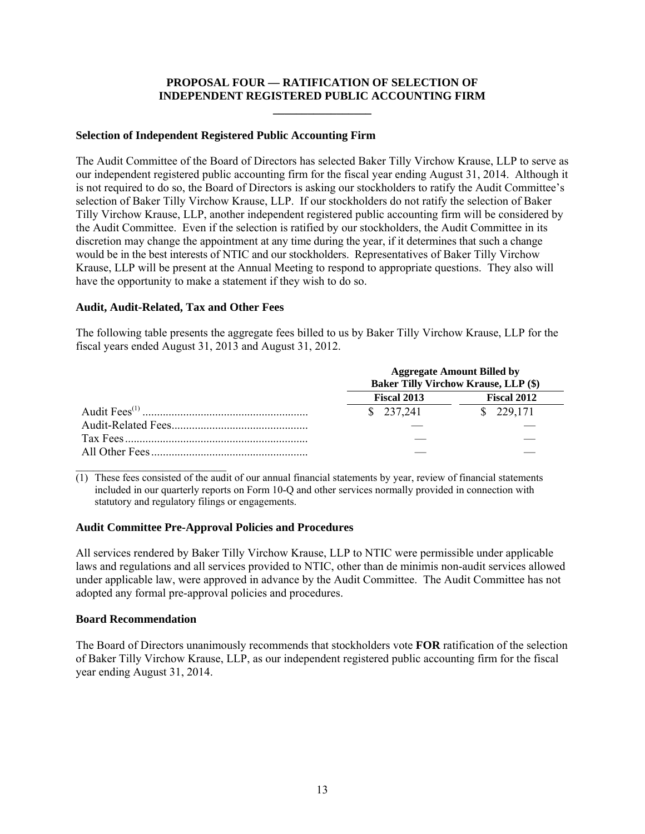# **PROPOSAL FOUR — RATIFICATION OF SELECTION OF INDEPENDENT REGISTERED PUBLIC ACCOUNTING FIRM \_\_\_\_\_\_\_\_\_\_\_\_\_\_\_\_\_**

#### **Selection of Independent Registered Public Accounting Firm**

The Audit Committee of the Board of Directors has selected Baker Tilly Virchow Krause, LLP to serve as our independent registered public accounting firm for the fiscal year ending August 31, 2014. Although it is not required to do so, the Board of Directors is asking our stockholders to ratify the Audit Committee's selection of Baker Tilly Virchow Krause, LLP. If our stockholders do not ratify the selection of Baker Tilly Virchow Krause, LLP, another independent registered public accounting firm will be considered by the Audit Committee. Even if the selection is ratified by our stockholders, the Audit Committee in its discretion may change the appointment at any time during the year, if it determines that such a change would be in the best interests of NTIC and our stockholders. Representatives of Baker Tilly Virchow Krause, LLP will be present at the Annual Meeting to respond to appropriate questions. They also will have the opportunity to make a statement if they wish to do so.

# **Audit, Audit-Related, Tax and Other Fees**

The following table presents the aggregate fees billed to us by Baker Tilly Virchow Krause, LLP for the fiscal years ended August 31, 2013 and August 31, 2012.

|             | <b>Aggregate Amount Billed by</b><br><b>Baker Tilly Virchow Krause, LLP (\$)</b> |
|-------------|----------------------------------------------------------------------------------|
| Fiscal 2013 | <b>Fiscal 2012</b>                                                               |
| \$237,241   | \$ 229,171                                                                       |
|             |                                                                                  |
|             |                                                                                  |
|             |                                                                                  |

 $\mathcal{L}_\text{max}$  , where  $\mathcal{L}_\text{max}$  and  $\mathcal{L}_\text{max}$ (1) These fees consisted of the audit of our annual financial statements by year, review of financial statements included in our quarterly reports on Form 10-Q and other services normally provided in connection with statutory and regulatory filings or engagements.

# **Audit Committee Pre-Approval Policies and Procedures**

All services rendered by Baker Tilly Virchow Krause, LLP to NTIC were permissible under applicable laws and regulations and all services provided to NTIC, other than de minimis non-audit services allowed under applicable law, were approved in advance by the Audit Committee. The Audit Committee has not adopted any formal pre-approval policies and procedures.

#### **Board Recommendation**

The Board of Directors unanimously recommends that stockholders vote **FOR** ratification of the selection of Baker Tilly Virchow Krause, LLP, as our independent registered public accounting firm for the fiscal year ending August 31, 2014.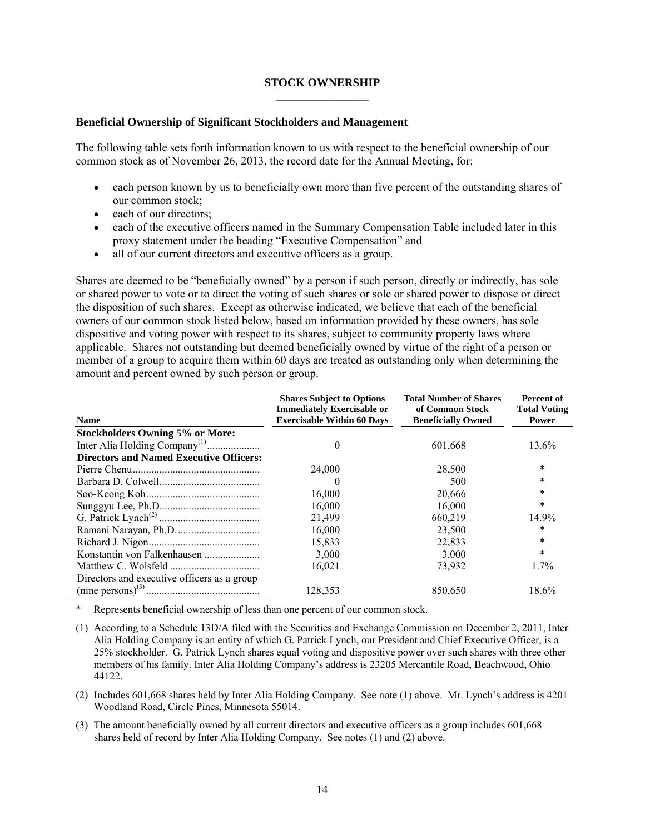#### **STOCK OWNERSHIP \_\_\_\_\_\_\_\_\_\_\_\_\_\_\_\_**

#### **Beneficial Ownership of Significant Stockholders and Management**

The following table sets forth information known to us with respect to the beneficial ownership of our common stock as of November 26, 2013, the record date for the Annual Meeting, for:

- each person known by us to beneficially own more than five percent of the outstanding shares of our common stock;
- each of our directors;
- each of the executive officers named in the Summary Compensation Table included later in this proxy statement under the heading "Executive Compensation" and
- all of our current directors and executive officers as a group.

Shares are deemed to be "beneficially owned" by a person if such person, directly or indirectly, has sole or shared power to vote or to direct the voting of such shares or sole or shared power to dispose or direct the disposition of such shares. Except as otherwise indicated, we believe that each of the beneficial owners of our common stock listed below, based on information provided by these owners, has sole dispositive and voting power with respect to its shares, subject to community property laws where applicable. Shares not outstanding but deemed beneficially owned by virtue of the right of a person or member of a group to acquire them within 60 days are treated as outstanding only when determining the amount and percent owned by such person or group.

| <b>Name</b>                                    | <b>Shares Subject to Options</b><br><b>Immediately Exercisable or</b><br><b>Exercisable Within 60 Days</b> | <b>Total Number of Shares</b><br>of Common Stock<br><b>Beneficially Owned</b> | Percent of<br><b>Total Voting</b><br><b>Power</b> |
|------------------------------------------------|------------------------------------------------------------------------------------------------------------|-------------------------------------------------------------------------------|---------------------------------------------------|
| <b>Stockholders Owning 5% or More:</b>         |                                                                                                            |                                                                               |                                                   |
|                                                |                                                                                                            | 601,668                                                                       | 13.6%                                             |
| <b>Directors and Named Executive Officers:</b> |                                                                                                            |                                                                               |                                                   |
|                                                | 24,000                                                                                                     | 28,500                                                                        | $\ast$                                            |
|                                                |                                                                                                            | 500                                                                           | $\ast$                                            |
|                                                | 16,000                                                                                                     | 20,666                                                                        | $\ast$                                            |
|                                                | 16,000                                                                                                     | 16.000                                                                        | $\ast$                                            |
|                                                | 21,499                                                                                                     | 660,219                                                                       | 14.9%                                             |
|                                                | 16,000                                                                                                     | 23,500                                                                        | $\ast$                                            |
|                                                | 15,833                                                                                                     | 22,833                                                                        | $\ast$                                            |
| Konstantin von Falkenhausen                    | 3,000                                                                                                      | 3,000                                                                         | *                                                 |
|                                                | 16,021                                                                                                     | 73,932                                                                        | $1.7\%$                                           |
| Directors and executive officers as a group    | 128,353                                                                                                    | 850,650                                                                       | 18.6%                                             |

Represents beneficial ownership of less than one percent of our common stock.

- (1) According to a Schedule 13D/A filed with the Securities and Exchange Commission on December 2, 2011, Inter Alia Holding Company is an entity of which G. Patrick Lynch, our President and Chief Executive Officer, is a 25% stockholder. G. Patrick Lynch shares equal voting and dispositive power over such shares with three other members of his family. Inter Alia Holding Company's address is 23205 Mercantile Road, Beachwood, Ohio 44122.
- (2) Includes 601,668 shares held by Inter Alia Holding Company. See note (1) above. Mr. Lynch's address is 4201 Woodland Road, Circle Pines, Minnesota 55014.
- (3) The amount beneficially owned by all current directors and executive officers as a group includes 601,668 shares held of record by Inter Alia Holding Company. See notes (1) and (2) above.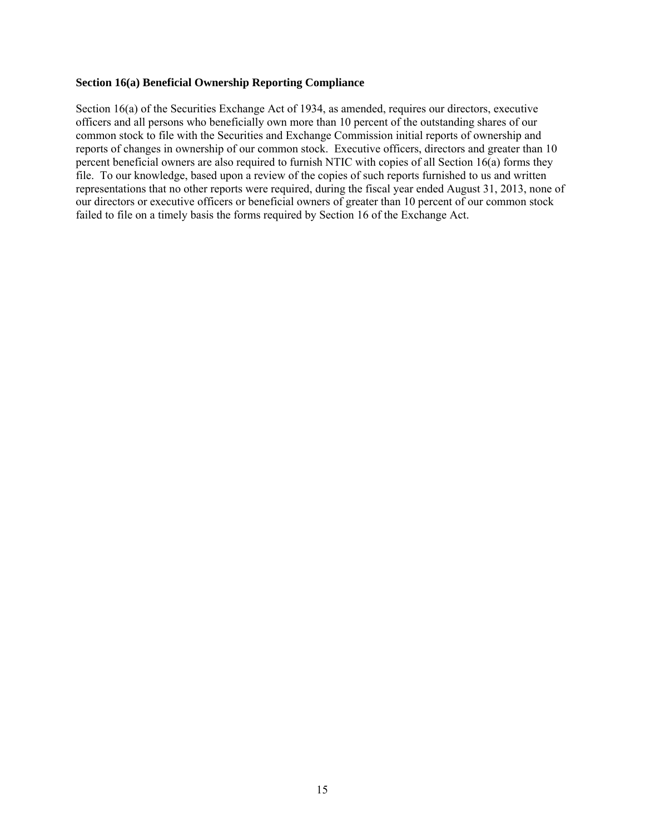#### **Section 16(a) Beneficial Ownership Reporting Compliance**

Section 16(a) of the Securities Exchange Act of 1934, as amended, requires our directors, executive officers and all persons who beneficially own more than 10 percent of the outstanding shares of our common stock to file with the Securities and Exchange Commission initial reports of ownership and reports of changes in ownership of our common stock. Executive officers, directors and greater than 10 percent beneficial owners are also required to furnish NTIC with copies of all Section 16(a) forms they file. To our knowledge, based upon a review of the copies of such reports furnished to us and written representations that no other reports were required, during the fiscal year ended August 31, 2013, none of our directors or executive officers or beneficial owners of greater than 10 percent of our common stock failed to file on a timely basis the forms required by Section 16 of the Exchange Act.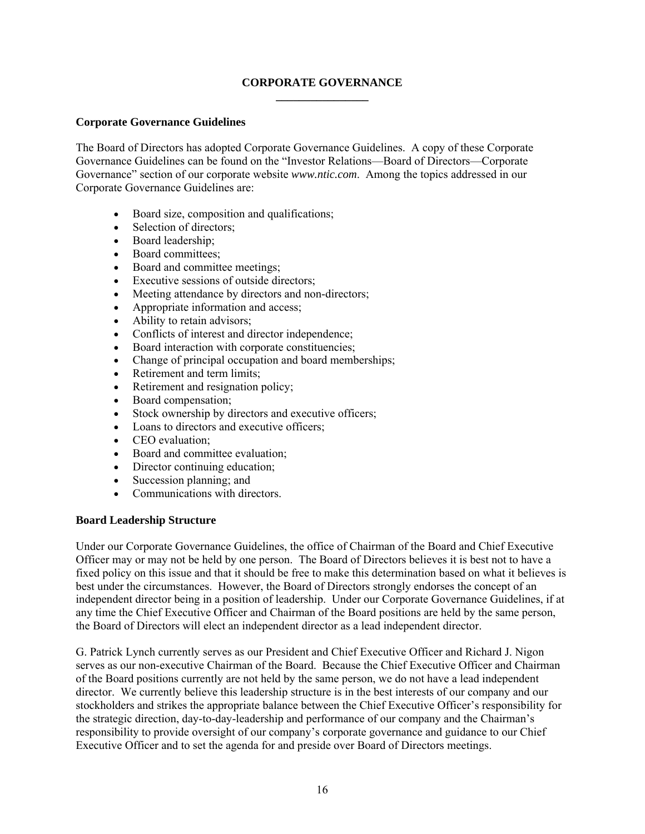# **CORPORATE GOVERNANCE \_\_\_\_\_\_\_\_\_\_\_\_\_\_\_\_**

# **Corporate Governance Guidelines**

The Board of Directors has adopted Corporate Governance Guidelines. A copy of these Corporate Governance Guidelines can be found on the "Investor Relations—Board of Directors—Corporate Governance" section of our corporate website *www.ntic.com*. Among the topics addressed in our Corporate Governance Guidelines are:

- Board size, composition and qualifications;
- Selection of directors;
- Board leadership;
- Board committees;
- Board and committee meetings;
- Executive sessions of outside directors:
- Meeting attendance by directors and non-directors;
- Appropriate information and access;
- Ability to retain advisors;
- Conflicts of interest and director independence;
- Board interaction with corporate constituencies;
- Change of principal occupation and board memberships;
- Retirement and term limits;
- Retirement and resignation policy;
- Board compensation;
- Stock ownership by directors and executive officers;
- Loans to directors and executive officers;
- CEO evaluation:
- Board and committee evaluation:
- Director continuing education;
- Succession planning; and
- Communications with directors.

# **Board Leadership Structure**

Under our Corporate Governance Guidelines, the office of Chairman of the Board and Chief Executive Officer may or may not be held by one person. The Board of Directors believes it is best not to have a fixed policy on this issue and that it should be free to make this determination based on what it believes is best under the circumstances. However, the Board of Directors strongly endorses the concept of an independent director being in a position of leadership. Under our Corporate Governance Guidelines, if at any time the Chief Executive Officer and Chairman of the Board positions are held by the same person, the Board of Directors will elect an independent director as a lead independent director.

G. Patrick Lynch currently serves as our President and Chief Executive Officer and Richard J. Nigon serves as our non-executive Chairman of the Board. Because the Chief Executive Officer and Chairman of the Board positions currently are not held by the same person, we do not have a lead independent director. We currently believe this leadership structure is in the best interests of our company and our stockholders and strikes the appropriate balance between the Chief Executive Officer's responsibility for the strategic direction, day-to-day-leadership and performance of our company and the Chairman's responsibility to provide oversight of our company's corporate governance and guidance to our Chief Executive Officer and to set the agenda for and preside over Board of Directors meetings.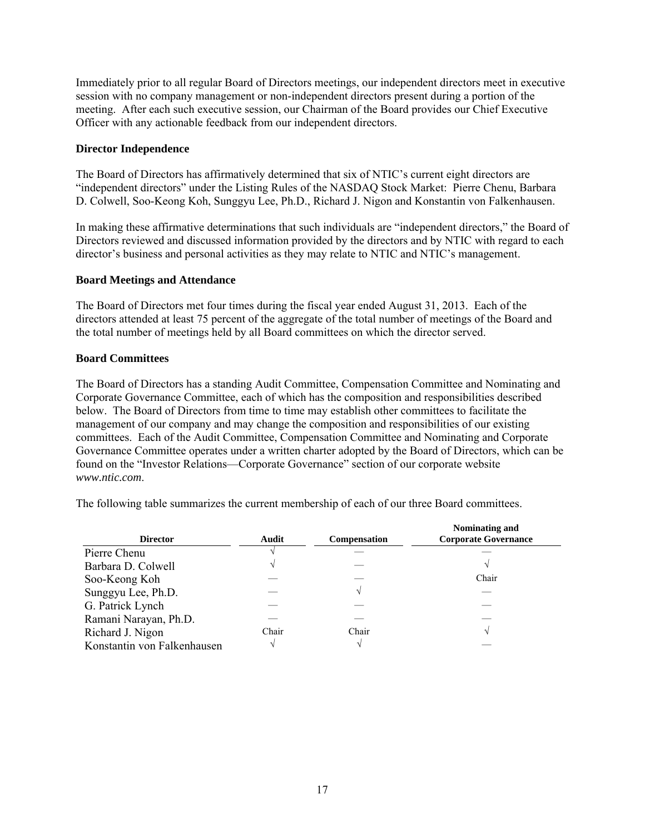Immediately prior to all regular Board of Directors meetings, our independent directors meet in executive session with no company management or non-independent directors present during a portion of the meeting. After each such executive session, our Chairman of the Board provides our Chief Executive Officer with any actionable feedback from our independent directors.

# **Director Independence**

The Board of Directors has affirmatively determined that six of NTIC's current eight directors are "independent directors" under the Listing Rules of the NASDAQ Stock Market: Pierre Chenu, Barbara D. Colwell, Soo-Keong Koh, Sunggyu Lee, Ph.D., Richard J. Nigon and Konstantin von Falkenhausen.

In making these affirmative determinations that such individuals are "independent directors," the Board of Directors reviewed and discussed information provided by the directors and by NTIC with regard to each director's business and personal activities as they may relate to NTIC and NTIC's management.

#### **Board Meetings and Attendance**

The Board of Directors met four times during the fiscal year ended August 31, 2013. Each of the directors attended at least 75 percent of the aggregate of the total number of meetings of the Board and the total number of meetings held by all Board committees on which the director served.

#### **Board Committees**

The Board of Directors has a standing Audit Committee, Compensation Committee and Nominating and Corporate Governance Committee, each of which has the composition and responsibilities described below. The Board of Directors from time to time may establish other committees to facilitate the management of our company and may change the composition and responsibilities of our existing committees. Each of the Audit Committee, Compensation Committee and Nominating and Corporate Governance Committee operates under a written charter adopted by the Board of Directors, which can be found on the "Investor Relations—Corporate Governance" section of our corporate website *www.ntic.com*.

The following table summarizes the current membership of each of our three Board committees.

| <b>Director</b>             | Audit | <b>Compensation</b> | Nominating and<br><b>Corporate Governance</b> |
|-----------------------------|-------|---------------------|-----------------------------------------------|
| Pierre Chenu                |       |                     |                                               |
| Barbara D. Colwell          |       |                     |                                               |
| Soo-Keong Koh               |       |                     | Chair                                         |
| Sunggyu Lee, Ph.D.          |       |                     |                                               |
| G. Patrick Lynch            |       |                     |                                               |
| Ramani Narayan, Ph.D.       |       |                     |                                               |
| Richard J. Nigon            | Chair | Chair               |                                               |
| Konstantin von Falkenhausen |       |                     |                                               |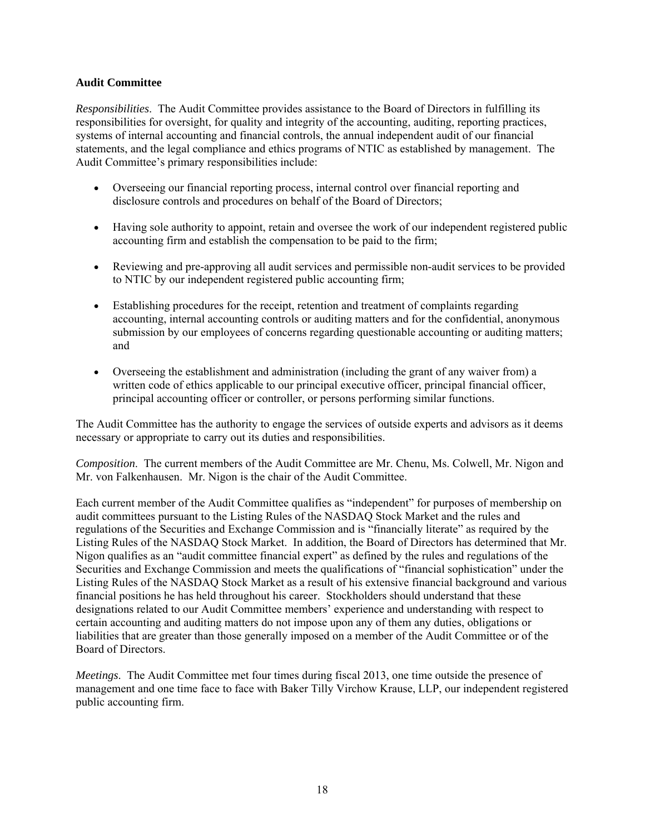# **Audit Committee**

*Responsibilities*. The Audit Committee provides assistance to the Board of Directors in fulfilling its responsibilities for oversight, for quality and integrity of the accounting, auditing, reporting practices, systems of internal accounting and financial controls, the annual independent audit of our financial statements, and the legal compliance and ethics programs of NTIC as established by management. The Audit Committee's primary responsibilities include:

- Overseeing our financial reporting process, internal control over financial reporting and disclosure controls and procedures on behalf of the Board of Directors;
- Having sole authority to appoint, retain and oversee the work of our independent registered public accounting firm and establish the compensation to be paid to the firm;
- Reviewing and pre-approving all audit services and permissible non-audit services to be provided to NTIC by our independent registered public accounting firm;
- Establishing procedures for the receipt, retention and treatment of complaints regarding accounting, internal accounting controls or auditing matters and for the confidential, anonymous submission by our employees of concerns regarding questionable accounting or auditing matters; and
- Overseeing the establishment and administration (including the grant of any waiver from) a written code of ethics applicable to our principal executive officer, principal financial officer, principal accounting officer or controller, or persons performing similar functions.

The Audit Committee has the authority to engage the services of outside experts and advisors as it deems necessary or appropriate to carry out its duties and responsibilities.

*Composition*. The current members of the Audit Committee are Mr. Chenu, Ms. Colwell, Mr. Nigon and Mr. von Falkenhausen. Mr. Nigon is the chair of the Audit Committee.

Each current member of the Audit Committee qualifies as "independent" for purposes of membership on audit committees pursuant to the Listing Rules of the NASDAQ Stock Market and the rules and regulations of the Securities and Exchange Commission and is "financially literate" as required by the Listing Rules of the NASDAQ Stock Market. In addition, the Board of Directors has determined that Mr. Nigon qualifies as an "audit committee financial expert" as defined by the rules and regulations of the Securities and Exchange Commission and meets the qualifications of "financial sophistication" under the Listing Rules of the NASDAQ Stock Market as a result of his extensive financial background and various financial positions he has held throughout his career. Stockholders should understand that these designations related to our Audit Committee members' experience and understanding with respect to certain accounting and auditing matters do not impose upon any of them any duties, obligations or liabilities that are greater than those generally imposed on a member of the Audit Committee or of the Board of Directors.

*Meetings*. The Audit Committee met four times during fiscal 2013, one time outside the presence of management and one time face to face with Baker Tilly Virchow Krause, LLP, our independent registered public accounting firm.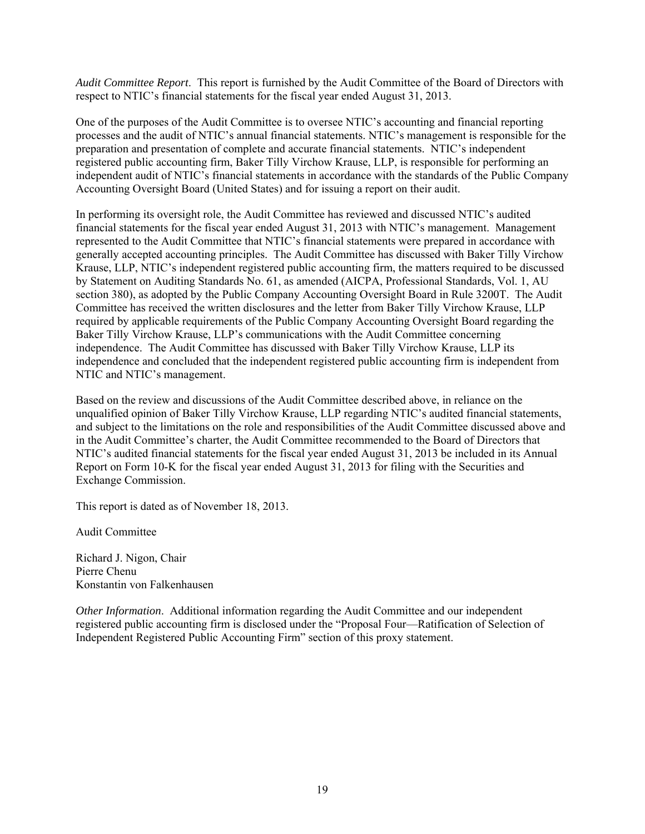*Audit Committee Report*. This report is furnished by the Audit Committee of the Board of Directors with respect to NTIC's financial statements for the fiscal year ended August 31, 2013.

One of the purposes of the Audit Committee is to oversee NTIC's accounting and financial reporting processes and the audit of NTIC's annual financial statements. NTIC's management is responsible for the preparation and presentation of complete and accurate financial statements. NTIC's independent registered public accounting firm, Baker Tilly Virchow Krause, LLP, is responsible for performing an independent audit of NTIC's financial statements in accordance with the standards of the Public Company Accounting Oversight Board (United States) and for issuing a report on their audit.

In performing its oversight role, the Audit Committee has reviewed and discussed NTIC's audited financial statements for the fiscal year ended August 31, 2013 with NTIC's management. Management represented to the Audit Committee that NTIC's financial statements were prepared in accordance with generally accepted accounting principles. The Audit Committee has discussed with Baker Tilly Virchow Krause, LLP, NTIC's independent registered public accounting firm, the matters required to be discussed by Statement on Auditing Standards No. 61, as amended (AICPA, Professional Standards, Vol. 1, AU section 380), as adopted by the Public Company Accounting Oversight Board in Rule 3200T. The Audit Committee has received the written disclosures and the letter from Baker Tilly Virchow Krause, LLP required by applicable requirements of the Public Company Accounting Oversight Board regarding the Baker Tilly Virchow Krause, LLP's communications with the Audit Committee concerning independence. The Audit Committee has discussed with Baker Tilly Virchow Krause, LLP its independence and concluded that the independent registered public accounting firm is independent from NTIC and NTIC's management.

Based on the review and discussions of the Audit Committee described above, in reliance on the unqualified opinion of Baker Tilly Virchow Krause, LLP regarding NTIC's audited financial statements, and subject to the limitations on the role and responsibilities of the Audit Committee discussed above and in the Audit Committee's charter, the Audit Committee recommended to the Board of Directors that NTIC's audited financial statements for the fiscal year ended August 31, 2013 be included in its Annual Report on Form 10-K for the fiscal year ended August 31, 2013 for filing with the Securities and Exchange Commission.

This report is dated as of November 18, 2013.

Audit Committee

Richard J. Nigon, Chair Pierre Chenu Konstantin von Falkenhausen

*Other Information*. Additional information regarding the Audit Committee and our independent registered public accounting firm is disclosed under the "Proposal Four—Ratification of Selection of Independent Registered Public Accounting Firm" section of this proxy statement.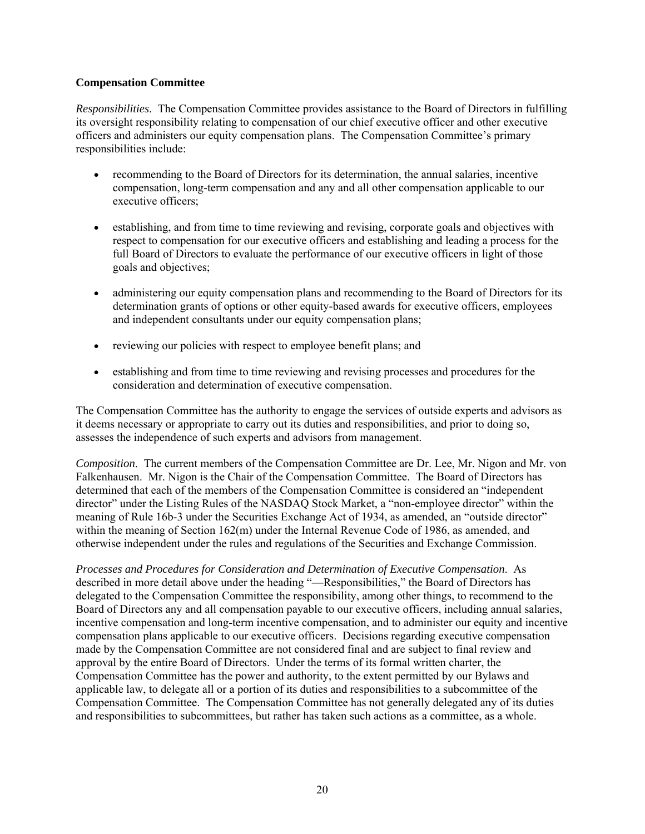# **Compensation Committee**

*Responsibilities*. The Compensation Committee provides assistance to the Board of Directors in fulfilling its oversight responsibility relating to compensation of our chief executive officer and other executive officers and administers our equity compensation plans. The Compensation Committee's primary responsibilities include:

- recommending to the Board of Directors for its determination, the annual salaries, incentive compensation, long-term compensation and any and all other compensation applicable to our executive officers;
- establishing, and from time to time reviewing and revising, corporate goals and objectives with respect to compensation for our executive officers and establishing and leading a process for the full Board of Directors to evaluate the performance of our executive officers in light of those goals and objectives;
- administering our equity compensation plans and recommending to the Board of Directors for its determination grants of options or other equity-based awards for executive officers, employees and independent consultants under our equity compensation plans;
- reviewing our policies with respect to employee benefit plans; and
- establishing and from time to time reviewing and revising processes and procedures for the consideration and determination of executive compensation.

The Compensation Committee has the authority to engage the services of outside experts and advisors as it deems necessary or appropriate to carry out its duties and responsibilities, and prior to doing so, assesses the independence of such experts and advisors from management.

*Composition*. The current members of the Compensation Committee are Dr. Lee, Mr. Nigon and Mr. von Falkenhausen. Mr. Nigon is the Chair of the Compensation Committee. The Board of Directors has determined that each of the members of the Compensation Committee is considered an "independent director" under the Listing Rules of the NASDAQ Stock Market, a "non-employee director" within the meaning of Rule 16b-3 under the Securities Exchange Act of 1934, as amended, an "outside director" within the meaning of Section 162(m) under the Internal Revenue Code of 1986, as amended, and otherwise independent under the rules and regulations of the Securities and Exchange Commission.

*Processes and Procedures for Consideration and Determination of Executive Compensation*. As described in more detail above under the heading "—Responsibilities," the Board of Directors has delegated to the Compensation Committee the responsibility, among other things, to recommend to the Board of Directors any and all compensation payable to our executive officers, including annual salaries, incentive compensation and long-term incentive compensation, and to administer our equity and incentive compensation plans applicable to our executive officers. Decisions regarding executive compensation made by the Compensation Committee are not considered final and are subject to final review and approval by the entire Board of Directors. Under the terms of its formal written charter, the Compensation Committee has the power and authority, to the extent permitted by our Bylaws and applicable law, to delegate all or a portion of its duties and responsibilities to a subcommittee of the Compensation Committee. The Compensation Committee has not generally delegated any of its duties and responsibilities to subcommittees, but rather has taken such actions as a committee, as a whole.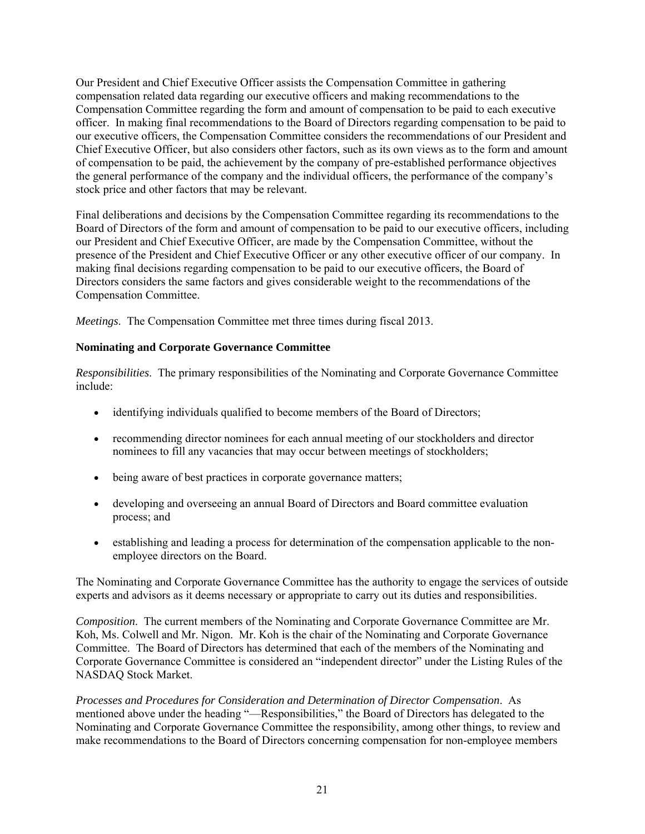Our President and Chief Executive Officer assists the Compensation Committee in gathering compensation related data regarding our executive officers and making recommendations to the Compensation Committee regarding the form and amount of compensation to be paid to each executive officer. In making final recommendations to the Board of Directors regarding compensation to be paid to our executive officers, the Compensation Committee considers the recommendations of our President and Chief Executive Officer, but also considers other factors, such as its own views as to the form and amount of compensation to be paid, the achievement by the company of pre-established performance objectives the general performance of the company and the individual officers, the performance of the company's stock price and other factors that may be relevant.

Final deliberations and decisions by the Compensation Committee regarding its recommendations to the Board of Directors of the form and amount of compensation to be paid to our executive officers, including our President and Chief Executive Officer, are made by the Compensation Committee, without the presence of the President and Chief Executive Officer or any other executive officer of our company. In making final decisions regarding compensation to be paid to our executive officers, the Board of Directors considers the same factors and gives considerable weight to the recommendations of the Compensation Committee.

*Meetings*. The Compensation Committee met three times during fiscal 2013.

# **Nominating and Corporate Governance Committee**

*Responsibilities*. The primary responsibilities of the Nominating and Corporate Governance Committee include:

- identifying individuals qualified to become members of the Board of Directors;
- recommending director nominees for each annual meeting of our stockholders and director nominees to fill any vacancies that may occur between meetings of stockholders;
- being aware of best practices in corporate governance matters;
- developing and overseeing an annual Board of Directors and Board committee evaluation process; and
- establishing and leading a process for determination of the compensation applicable to the nonemployee directors on the Board.

The Nominating and Corporate Governance Committee has the authority to engage the services of outside experts and advisors as it deems necessary or appropriate to carry out its duties and responsibilities.

*Composition*. The current members of the Nominating and Corporate Governance Committee are Mr. Koh, Ms. Colwell and Mr. Nigon. Mr. Koh is the chair of the Nominating and Corporate Governance Committee. The Board of Directors has determined that each of the members of the Nominating and Corporate Governance Committee is considered an "independent director" under the Listing Rules of the NASDAQ Stock Market.

*Processes and Procedures for Consideration and Determination of Director Compensation*. As mentioned above under the heading "—Responsibilities," the Board of Directors has delegated to the Nominating and Corporate Governance Committee the responsibility, among other things, to review and make recommendations to the Board of Directors concerning compensation for non-employee members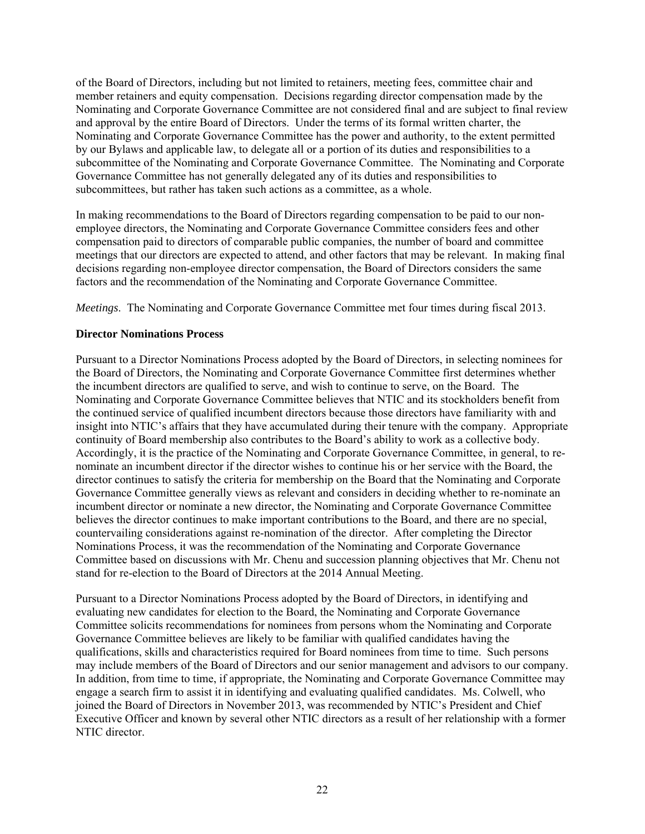of the Board of Directors, including but not limited to retainers, meeting fees, committee chair and member retainers and equity compensation. Decisions regarding director compensation made by the Nominating and Corporate Governance Committee are not considered final and are subject to final review and approval by the entire Board of Directors. Under the terms of its formal written charter, the Nominating and Corporate Governance Committee has the power and authority, to the extent permitted by our Bylaws and applicable law, to delegate all or a portion of its duties and responsibilities to a subcommittee of the Nominating and Corporate Governance Committee. The Nominating and Corporate Governance Committee has not generally delegated any of its duties and responsibilities to subcommittees, but rather has taken such actions as a committee, as a whole.

In making recommendations to the Board of Directors regarding compensation to be paid to our nonemployee directors, the Nominating and Corporate Governance Committee considers fees and other compensation paid to directors of comparable public companies, the number of board and committee meetings that our directors are expected to attend, and other factors that may be relevant. In making final decisions regarding non-employee director compensation, the Board of Directors considers the same factors and the recommendation of the Nominating and Corporate Governance Committee.

*Meetings*. The Nominating and Corporate Governance Committee met four times during fiscal 2013.

# **Director Nominations Process**

Pursuant to a Director Nominations Process adopted by the Board of Directors, in selecting nominees for the Board of Directors, the Nominating and Corporate Governance Committee first determines whether the incumbent directors are qualified to serve, and wish to continue to serve, on the Board. The Nominating and Corporate Governance Committee believes that NTIC and its stockholders benefit from the continued service of qualified incumbent directors because those directors have familiarity with and insight into NTIC's affairs that they have accumulated during their tenure with the company. Appropriate continuity of Board membership also contributes to the Board's ability to work as a collective body. Accordingly, it is the practice of the Nominating and Corporate Governance Committee, in general, to renominate an incumbent director if the director wishes to continue his or her service with the Board, the director continues to satisfy the criteria for membership on the Board that the Nominating and Corporate Governance Committee generally views as relevant and considers in deciding whether to re-nominate an incumbent director or nominate a new director, the Nominating and Corporate Governance Committee believes the director continues to make important contributions to the Board, and there are no special, countervailing considerations against re-nomination of the director. After completing the Director Nominations Process, it was the recommendation of the Nominating and Corporate Governance Committee based on discussions with Mr. Chenu and succession planning objectives that Mr. Chenu not stand for re-election to the Board of Directors at the 2014 Annual Meeting.

Pursuant to a Director Nominations Process adopted by the Board of Directors, in identifying and evaluating new candidates for election to the Board, the Nominating and Corporate Governance Committee solicits recommendations for nominees from persons whom the Nominating and Corporate Governance Committee believes are likely to be familiar with qualified candidates having the qualifications, skills and characteristics required for Board nominees from time to time. Such persons may include members of the Board of Directors and our senior management and advisors to our company. In addition, from time to time, if appropriate, the Nominating and Corporate Governance Committee may engage a search firm to assist it in identifying and evaluating qualified candidates. Ms. Colwell, who joined the Board of Directors in November 2013, was recommended by NTIC's President and Chief Executive Officer and known by several other NTIC directors as a result of her relationship with a former NTIC director.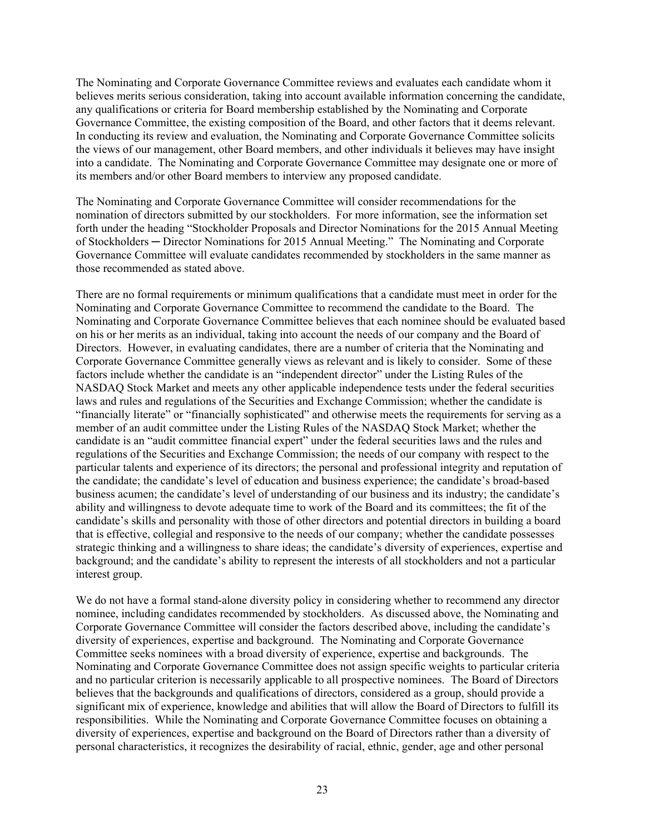The Nominating and Corporate Governance Committee reviews and evaluates each candidate whom it believes merits serious consideration, taking into account available information concerning the candidate, any qualifications or criteria for Board membership established by the Nominating and Corporate Governance Committee, the existing composition of the Board, and other factors that it deems relevant. In conducting its review and evaluation, the Nominating and Corporate Governance Committee solicits the views of our management, other Board members, and other individuals it believes may have insight into a candidate. The Nominating and Corporate Governance Committee may designate one or more of its members and/or other Board members to interview any proposed candidate.

The Nominating and Corporate Governance Committee will consider recommendations for the nomination of directors submitted by our stockholders. For more information, see the information set forth under the heading "Stockholder Proposals and Director Nominations for the 2015 Annual Meeting of Stockholders ─ Director Nominations for 2015 Annual Meeting." The Nominating and Corporate Governance Committee will evaluate candidates recommended by stockholders in the same manner as those recommended as stated above.

There are no formal requirements or minimum qualifications that a candidate must meet in order for the Nominating and Corporate Governance Committee to recommend the candidate to the Board. The Nominating and Corporate Governance Committee believes that each nominee should be evaluated based on his or her merits as an individual, taking into account the needs of our company and the Board of Directors. However, in evaluating candidates, there are a number of criteria that the Nominating and Corporate Governance Committee generally views as relevant and is likely to consider. Some of these factors include whether the candidate is an "independent director" under the Listing Rules of the NASDAQ Stock Market and meets any other applicable independence tests under the federal securities laws and rules and regulations of the Securities and Exchange Commission; whether the candidate is "financially literate" or "financially sophisticated" and otherwise meets the requirements for serving as a member of an audit committee under the Listing Rules of the NASDAQ Stock Market; whether the candidate is an "audit committee financial expert" under the federal securities laws and the rules and regulations of the Securities and Exchange Commission; the needs of our company with respect to the particular talents and experience of its directors; the personal and professional integrity and reputation of the candidate; the candidate's level of education and business experience; the candidate's broad-based business acumen; the candidate's level of understanding of our business and its industry; the candidate's ability and willingness to devote adequate time to work of the Board and its committees; the fit of the candidate's skills and personality with those of other directors and potential directors in building a board that is effective, collegial and responsive to the needs of our company; whether the candidate possesses strategic thinking and a willingness to share ideas; the candidate's diversity of experiences, expertise and background; and the candidate's ability to represent the interests of all stockholders and not a particular interest group.

We do not have a formal stand-alone diversity policy in considering whether to recommend any director nominee, including candidates recommended by stockholders. As discussed above, the Nominating and Corporate Governance Committee will consider the factors described above, including the candidate's diversity of experiences, expertise and background. The Nominating and Corporate Governance Committee seeks nominees with a broad diversity of experience, expertise and backgrounds. The Nominating and Corporate Governance Committee does not assign specific weights to particular criteria and no particular criterion is necessarily applicable to all prospective nominees. The Board of Directors believes that the backgrounds and qualifications of directors, considered as a group, should provide a significant mix of experience, knowledge and abilities that will allow the Board of Directors to fulfill its responsibilities. While the Nominating and Corporate Governance Committee focuses on obtaining a diversity of experiences, expertise and background on the Board of Directors rather than a diversity of personal characteristics, it recognizes the desirability of racial, ethnic, gender, age and other personal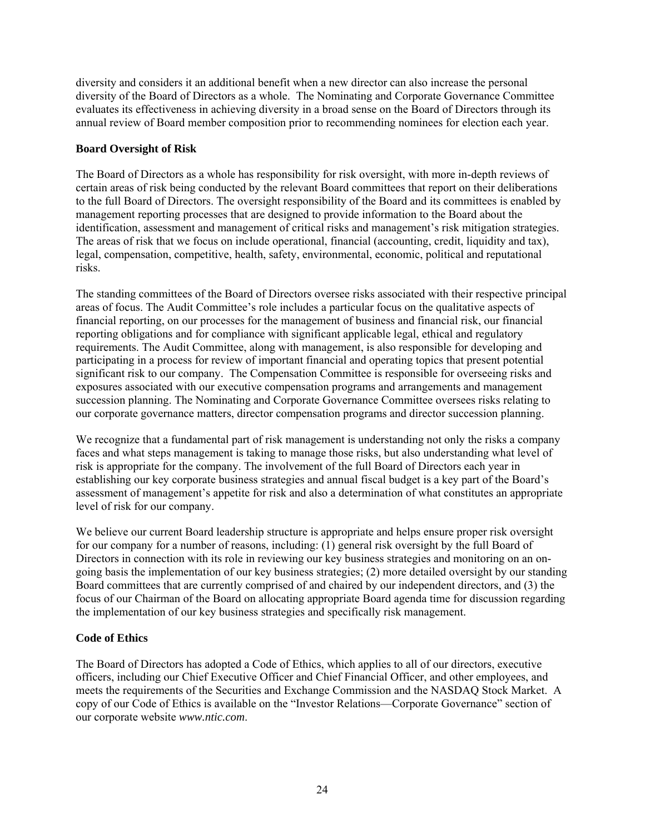diversity and considers it an additional benefit when a new director can also increase the personal diversity of the Board of Directors as a whole. The Nominating and Corporate Governance Committee evaluates its effectiveness in achieving diversity in a broad sense on the Board of Directors through its annual review of Board member composition prior to recommending nominees for election each year.

# **Board Oversight of Risk**

The Board of Directors as a whole has responsibility for risk oversight, with more in-depth reviews of certain areas of risk being conducted by the relevant Board committees that report on their deliberations to the full Board of Directors. The oversight responsibility of the Board and its committees is enabled by management reporting processes that are designed to provide information to the Board about the identification, assessment and management of critical risks and management's risk mitigation strategies. The areas of risk that we focus on include operational, financial (accounting, credit, liquidity and tax), legal, compensation, competitive, health, safety, environmental, economic, political and reputational risks.

The standing committees of the Board of Directors oversee risks associated with their respective principal areas of focus. The Audit Committee's role includes a particular focus on the qualitative aspects of financial reporting, on our processes for the management of business and financial risk, our financial reporting obligations and for compliance with significant applicable legal, ethical and regulatory requirements. The Audit Committee, along with management, is also responsible for developing and participating in a process for review of important financial and operating topics that present potential significant risk to our company. The Compensation Committee is responsible for overseeing risks and exposures associated with our executive compensation programs and arrangements and management succession planning. The Nominating and Corporate Governance Committee oversees risks relating to our corporate governance matters, director compensation programs and director succession planning.

We recognize that a fundamental part of risk management is understanding not only the risks a company faces and what steps management is taking to manage those risks, but also understanding what level of risk is appropriate for the company. The involvement of the full Board of Directors each year in establishing our key corporate business strategies and annual fiscal budget is a key part of the Board's assessment of management's appetite for risk and also a determination of what constitutes an appropriate level of risk for our company.

We believe our current Board leadership structure is appropriate and helps ensure proper risk oversight for our company for a number of reasons, including: (1) general risk oversight by the full Board of Directors in connection with its role in reviewing our key business strategies and monitoring on an ongoing basis the implementation of our key business strategies; (2) more detailed oversight by our standing Board committees that are currently comprised of and chaired by our independent directors, and (3) the focus of our Chairman of the Board on allocating appropriate Board agenda time for discussion regarding the implementation of our key business strategies and specifically risk management.

# **Code of Ethics**

The Board of Directors has adopted a Code of Ethics, which applies to all of our directors, executive officers, including our Chief Executive Officer and Chief Financial Officer, and other employees, and meets the requirements of the Securities and Exchange Commission and the NASDAQ Stock Market. A copy of our Code of Ethics is available on the "Investor Relations—Corporate Governance" section of our corporate website *www.ntic.com*.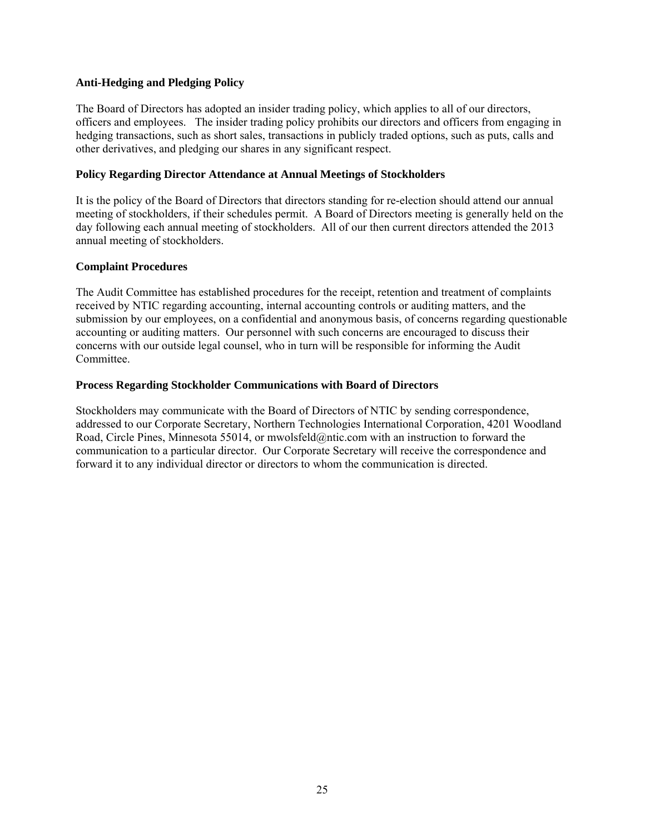# **Anti-Hedging and Pledging Policy**

The Board of Directors has adopted an insider trading policy, which applies to all of our directors, officers and employees. The insider trading policy prohibits our directors and officers from engaging in hedging transactions, such as short sales, transactions in publicly traded options, such as puts, calls and other derivatives, and pledging our shares in any significant respect.

#### **Policy Regarding Director Attendance at Annual Meetings of Stockholders**

It is the policy of the Board of Directors that directors standing for re-election should attend our annual meeting of stockholders, if their schedules permit. A Board of Directors meeting is generally held on the day following each annual meeting of stockholders. All of our then current directors attended the 2013 annual meeting of stockholders.

#### **Complaint Procedures**

The Audit Committee has established procedures for the receipt, retention and treatment of complaints received by NTIC regarding accounting, internal accounting controls or auditing matters, and the submission by our employees, on a confidential and anonymous basis, of concerns regarding questionable accounting or auditing matters. Our personnel with such concerns are encouraged to discuss their concerns with our outside legal counsel, who in turn will be responsible for informing the Audit Committee.

#### **Process Regarding Stockholder Communications with Board of Directors**

Stockholders may communicate with the Board of Directors of NTIC by sending correspondence, addressed to our Corporate Secretary, Northern Technologies International Corporation, 4201 Woodland Road, Circle Pines, Minnesota 55014, or mwolsfeld@ntic.com with an instruction to forward the communication to a particular director. Our Corporate Secretary will receive the correspondence and forward it to any individual director or directors to whom the communication is directed.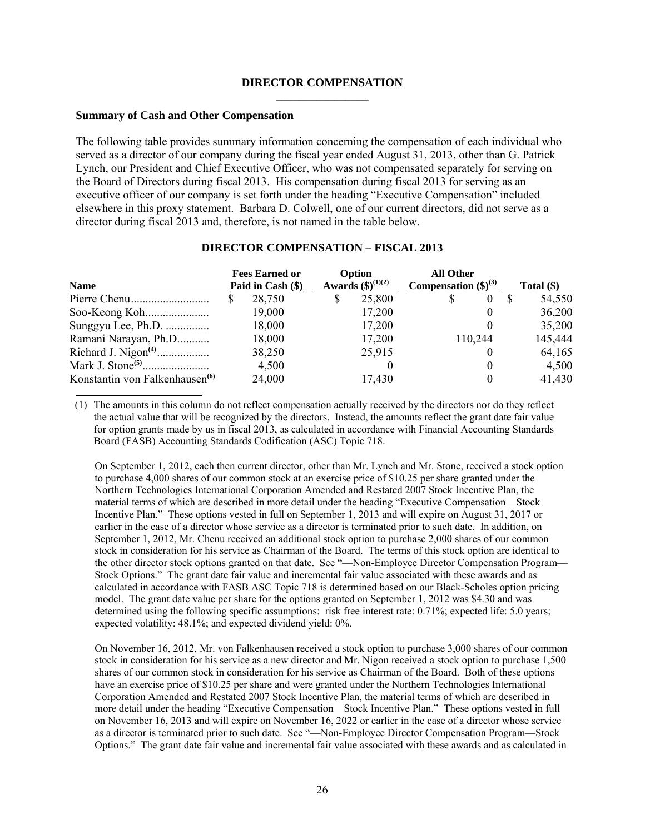#### **DIRECTOR COMPENSATION \_\_\_\_\_\_\_\_\_\_\_\_\_\_\_\_**

#### **Summary of Cash and Other Compensation**

The following table provides summary information concerning the compensation of each individual who served as a director of our company during the fiscal year ended August 31, 2013, other than G. Patrick Lynch, our President and Chief Executive Officer, who was not compensated separately for serving on the Board of Directors during fiscal 2013. His compensation during fiscal 2013 for serving as an executive officer of our company is set forth under the heading "Executive Compensation" included elsewhere in this proxy statement.Barbara D. Colwell, one of our current directors, did not serve as a director during fiscal 2013 and, therefore, is not named in the table below.

| <b>Name</b>                                | <b>Fees Earned or</b><br>Paid in Cash (\$) |   | Option<br>Awards $(\$)^{(1)(2)}$ | Compensation $(\text{$\$})^{(3)}$ | <b>All Other</b> |          | Total $(\$)$ |
|--------------------------------------------|--------------------------------------------|---|----------------------------------|-----------------------------------|------------------|----------|--------------|
|                                            | 28,750                                     | S | 25,800                           |                                   | S                | $^{(1)}$ | 54,550       |
|                                            | 19,000                                     |   | 17,200                           |                                   |                  | $\theta$ | 36,200       |
| Sunggyu Lee, Ph.D.                         | 18,000                                     |   | 17,200                           |                                   |                  |          | 35,200       |
| Ramani Narayan, Ph.D                       | 18,000                                     |   | 17,200                           |                                   |                  | 110,244  | 145,444      |
|                                            | 38,250                                     |   | 25,915                           |                                   |                  |          | 64,165       |
|                                            | 4,500                                      |   |                                  |                                   |                  |          | 4,500        |
| Konstantin von Falkenhausen <sup>(6)</sup> | 24,000                                     |   | 17,430                           |                                   |                  |          | 41,430       |

#### **DIRECTOR COMPENSATION – FISCAL 2013**

(1) The amounts in this column do not reflect compensation actually received by the directors nor do they reflect the actual value that will be recognized by the directors. Instead, the amounts reflect the grant date fair value for option grants made by us in fiscal 2013, as calculated in accordance with Financial Accounting Standards Board (FASB) Accounting Standards Codification (ASC) Topic 718.

On September 1, 2012, each then current director, other than Mr. Lynch and Mr. Stone, received a stock option to purchase 4,000 shares of our common stock at an exercise price of \$10.25 per share granted under the Northern Technologies International Corporation Amended and Restated 2007 Stock Incentive Plan, the material terms of which are described in more detail under the heading "Executive Compensation—Stock Incentive Plan." These options vested in full on September 1, 2013 and will expire on August 31, 2017 or earlier in the case of a director whose service as a director is terminated prior to such date. In addition, on September 1, 2012, Mr. Chenu received an additional stock option to purchase 2,000 shares of our common stock in consideration for his service as Chairman of the Board. The terms of this stock option are identical to the other director stock options granted on that date. See "—Non-Employee Director Compensation Program— Stock Options." The grant date fair value and incremental fair value associated with these awards and as calculated in accordance with FASB ASC Topic 718 is determined based on our Black-Scholes option pricing model. The grant date value per share for the options granted on September 1, 2012 was \$4.30 and was determined using the following specific assumptions: risk free interest rate: 0.71%; expected life: 5.0 years; expected volatility: 48.1%; and expected dividend yield: 0%.

On November 16, 2012, Mr. von Falkenhausen received a stock option to purchase 3,000 shares of our common stock in consideration for his service as a new director and Mr. Nigon received a stock option to purchase 1,500 shares of our common stock in consideration for his service as Chairman of the Board. Both of these options have an exercise price of \$10.25 per share and were granted under the Northern Technologies International Corporation Amended and Restated 2007 Stock Incentive Plan, the material terms of which are described in more detail under the heading "Executive Compensation—Stock Incentive Plan." These options vested in full on November 16, 2013 and will expire on November 16, 2022 or earlier in the case of a director whose service as a director is terminated prior to such date. See "—Non-Employee Director Compensation Program—Stock Options." The grant date fair value and incremental fair value associated with these awards and as calculated in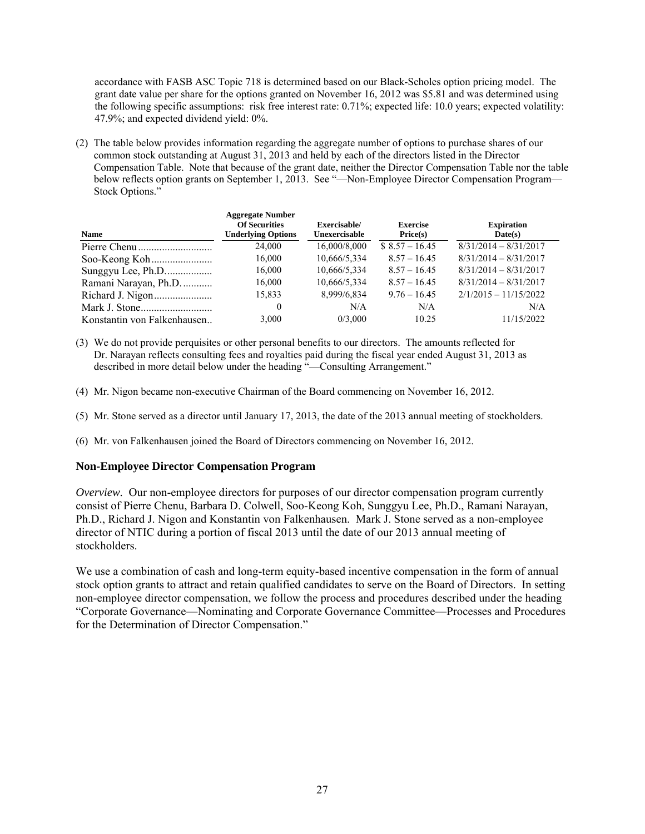accordance with FASB ASC Topic 718 is determined based on our Black-Scholes option pricing model. The grant date value per share for the options granted on November 16, 2012 was \$5.81 and was determined using the following specific assumptions: risk free interest rate: 0.71%; expected life: 10.0 years; expected volatility: 47.9%; and expected dividend yield: 0%.

(2) The table below provides information regarding the aggregate number of options to purchase shares of our common stock outstanding at August 31, 2013 and held by each of the directors listed in the Director Compensation Table. Note that because of the grant date, neither the Director Compensation Table nor the table below reflects option grants on September 1, 2013. See "-Non-Employee Director Compensation Program-Stock Options."

| <b>Name</b>                 | <b>Aggregate Number</b><br><b>Of Securities</b><br><b>Underlying Options</b> | Exercisable/<br>Unexercisable | <b>Exercise</b><br>Price(s) | <b>Expiration</b><br>Date(s) |
|-----------------------------|------------------------------------------------------------------------------|-------------------------------|-----------------------------|------------------------------|
|                             | 24,000                                                                       | 16,000/8,000                  | $$8.57 - 16.45$             | $8/31/2014 - 8/31/2017$      |
|                             | 16,000                                                                       | 10,666/5,334                  | $8.57 - 16.45$              | $8/31/2014 - 8/31/2017$      |
| Sunggyu Lee, Ph.D           | 16,000                                                                       | 10,666/5,334                  | $8.57 - 16.45$              | $8/31/2014 - 8/31/2017$      |
| Ramani Narayan, Ph.D        | 16,000                                                                       | 10,666/5,334                  | $8.57 - 16.45$              | $8/31/2014 - 8/31/2017$      |
|                             | 15,833                                                                       | 8,999/6,834                   | $9.76 - 16.45$              | $2/1/2015 - 11/15/2022$      |
|                             | $\theta$                                                                     | N/A                           | N/A                         | N/A                          |
| Konstantin von Falkenhausen | 3,000                                                                        | 0/3.000                       | 10.25                       | 11/15/2022                   |

- (3) We do not provide perquisites or other personal benefits to our directors. The amounts reflected for Dr. Narayan reflects consulting fees and royalties paid during the fiscal year ended August 31, 2013 as described in more detail below under the heading "-Consulting Arrangement."
- (4) Mr. Nigon became non-executive Chairman of the Board commencing on November 16, 2012.
- (5) Mr. Stone served as a director until January 17, 2013, the date of the 2013 annual meeting of stockholders.
- (6) Mr. von Falkenhausen joined the Board of Directors commencing on November 16, 2012.

#### **Non-Employee Director Compensation Program**

*Overview.* Our non-employee directors for purposes of our director compensation program currently consist of Pierre Chenu, Barbara D. Colwell, Soo-Keong Koh, Sunggyu Lee, Ph.D., Ramani Narayan, Ph.D., Richard J. Nigon and Konstantin von Falkenhausen. Mark J. Stone served as a non-employee director of NTIC during a portion of fiscal 2013 until the date of our 2013 annual meeting of stockholders.

We use a combination of cash and long-term equity-based incentive compensation in the form of annual stock option grants to attract and retain qualified candidates to serve on the Board of Directors. In setting non-employee director compensation, we follow the process and procedures described under the heading "Corporate Governance—Nominating and Corporate Governance Committee—Processes and Procedures for the Determination of Director Compensation."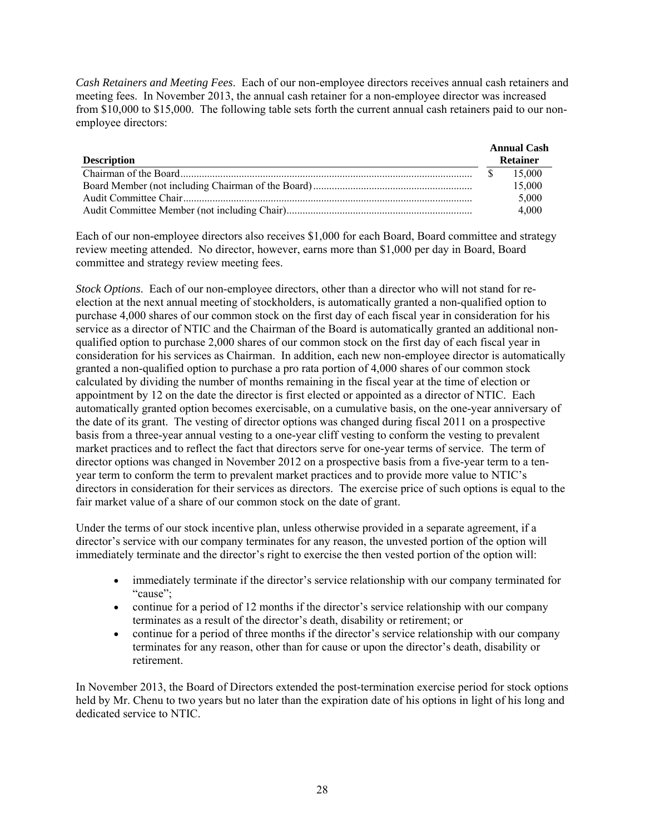*Cash Retainers and Meeting Fees*. Each of our non-employee directors receives annual cash retainers and meeting fees. In November 2013, the annual cash retainer for a non-employee director was increased from \$10,000 to \$15,000. The following table sets forth the current annual cash retainers paid to our nonemployee directors:

| <b>Description</b> | <b>Annual Cash</b><br><b>Retainer</b> |
|--------------------|---------------------------------------|
|                    | 15.000                                |
|                    | 15,000                                |
|                    | 5,000                                 |
|                    | 4.000                                 |

Each of our non-employee directors also receives \$1,000 for each Board, Board committee and strategy review meeting attended. No director, however, earns more than \$1,000 per day in Board, Board committee and strategy review meeting fees.

*Stock Options*. Each of our non-employee directors, other than a director who will not stand for reelection at the next annual meeting of stockholders, is automatically granted a non-qualified option to purchase 4,000 shares of our common stock on the first day of each fiscal year in consideration for his service as a director of NTIC and the Chairman of the Board is automatically granted an additional nonqualified option to purchase 2,000 shares of our common stock on the first day of each fiscal year in consideration for his services as Chairman. In addition, each new non-employee director is automatically granted a non-qualified option to purchase a pro rata portion of 4,000 shares of our common stock calculated by dividing the number of months remaining in the fiscal year at the time of election or appointment by 12 on the date the director is first elected or appointed as a director of NTIC. Each automatically granted option becomes exercisable, on a cumulative basis, on the one-year anniversary of the date of its grant. The vesting of director options was changed during fiscal 2011 on a prospective basis from a three-year annual vesting to a one-year cliff vesting to conform the vesting to prevalent market practices and to reflect the fact that directors serve for one-year terms of service. The term of director options was changed in November 2012 on a prospective basis from a five-year term to a tenyear term to conform the term to prevalent market practices and to provide more value to NTIC's directors in consideration for their services as directors. The exercise price of such options is equal to the fair market value of a share of our common stock on the date of grant.

Under the terms of our stock incentive plan, unless otherwise provided in a separate agreement, if a director's service with our company terminates for any reason, the unvested portion of the option will immediately terminate and the director's right to exercise the then vested portion of the option will:

- immediately terminate if the director's service relationship with our company terminated for "cause";
- continue for a period of 12 months if the director's service relationship with our company terminates as a result of the director's death, disability or retirement; or
- continue for a period of three months if the director's service relationship with our company terminates for any reason, other than for cause or upon the director's death, disability or retirement.

In November 2013, the Board of Directors extended the post-termination exercise period for stock options held by Mr. Chenu to two years but no later than the expiration date of his options in light of his long and dedicated service to NTIC.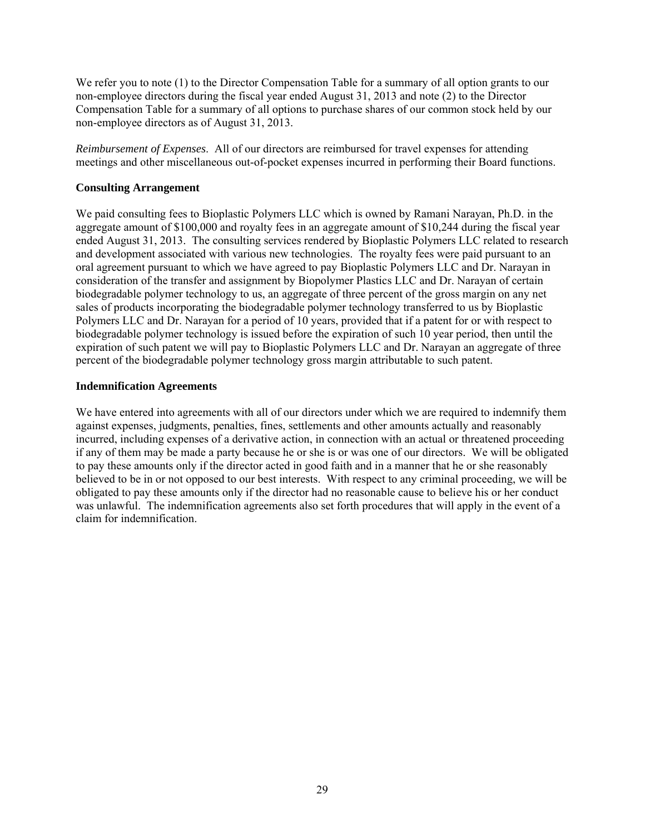We refer you to note (1) to the Director Compensation Table for a summary of all option grants to our non-employee directors during the fiscal year ended August 31, 2013 and note (2) to the Director Compensation Table for a summary of all options to purchase shares of our common stock held by our non-employee directors as of August 31, 2013.

*Reimbursement of Expenses*. All of our directors are reimbursed for travel expenses for attending meetings and other miscellaneous out-of-pocket expenses incurred in performing their Board functions.

# **Consulting Arrangement**

We paid consulting fees to Bioplastic Polymers LLC which is owned by Ramani Narayan, Ph.D. in the aggregate amount of \$100,000 and royalty fees in an aggregate amount of \$10,244 during the fiscal year ended August 31, 2013. The consulting services rendered by Bioplastic Polymers LLC related to research and development associated with various new technologies. The royalty fees were paid pursuant to an oral agreement pursuant to which we have agreed to pay Bioplastic Polymers LLC and Dr. Narayan in consideration of the transfer and assignment by Biopolymer Plastics LLC and Dr. Narayan of certain biodegradable polymer technology to us, an aggregate of three percent of the gross margin on any net sales of products incorporating the biodegradable polymer technology transferred to us by Bioplastic Polymers LLC and Dr. Narayan for a period of 10 years, provided that if a patent for or with respect to biodegradable polymer technology is issued before the expiration of such 10 year period, then until the expiration of such patent we will pay to Bioplastic Polymers LLC and Dr. Narayan an aggregate of three percent of the biodegradable polymer technology gross margin attributable to such patent.

# **Indemnification Agreements**

We have entered into agreements with all of our directors under which we are required to indemnify them against expenses, judgments, penalties, fines, settlements and other amounts actually and reasonably incurred, including expenses of a derivative action, in connection with an actual or threatened proceeding if any of them may be made a party because he or she is or was one of our directors. We will be obligated to pay these amounts only if the director acted in good faith and in a manner that he or she reasonably believed to be in or not opposed to our best interests. With respect to any criminal proceeding, we will be obligated to pay these amounts only if the director had no reasonable cause to believe his or her conduct was unlawful. The indemnification agreements also set forth procedures that will apply in the event of a claim for indemnification.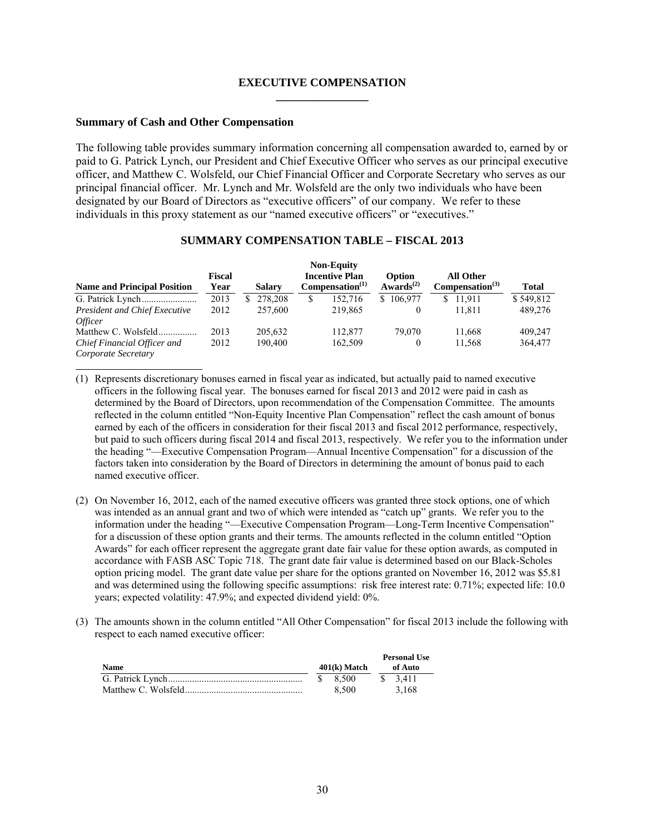#### **EXECUTIVE COMPENSATION \_\_\_\_\_\_\_\_\_\_\_\_\_\_\_\_**

#### **Summary of Cash and Other Compensation**

The following table provides summary information concerning all compensation awarded to, earned by or paid to G. Patrick Lynch, our President and Chief Executive Officer who serves as our principal executive officer, and Matthew C. Wolsfeld, our Chief Financial Officer and Corporate Secretary who serves as our principal financial officer. Mr. Lynch and Mr. Wolsfeld are the only two individuals who have been designated by our Board of Directors as "executive officers" of our company. We refer to these individuals in this proxy statement as our "named executive officers" or "executives."

| <b>Name and Principal Position</b>   | Fiscal<br>Year |    | <b>Salary</b> |   | <b>Non-Equity</b><br><b>Incentive Plan</b><br>Compensation <sup>(1)</sup> | Option<br>Awards <sup><math>(2)</math></sup> | <b>All Other</b><br>Compensation <sup>(3)</sup> | <b>Total</b> |
|--------------------------------------|----------------|----|---------------|---|---------------------------------------------------------------------------|----------------------------------------------|-------------------------------------------------|--------------|
|                                      | 2013           | S. | 278,208       | S | 152.716                                                                   | \$106,977                                    | \$11.911                                        | \$549,812    |
| <b>President and Chief Executive</b> | 2012           |    | 257,600       |   | 219.865                                                                   |                                              | 11.811                                          | 489,276      |
| <i>Officer</i>                       |                |    |               |   |                                                                           |                                              |                                                 |              |
| Matthew C. Wolsfeld                  | 2013           |    | 205.632       |   | 112,877                                                                   | 79,070                                       | 11.668                                          | 409.247      |
| Chief Financial Officer and          | 2012           |    | 190.400       |   | 162,509                                                                   |                                              | 11.568                                          | 364,477      |
| Corporate Secretary                  |                |    |               |   |                                                                           |                                              |                                                 |              |

#### **SUMMARY COMPENSATION TABLE – FISCAL 2013**

(1) Represents discretionary bonuses earned in fiscal year as indicated, but actually paid to named executive officers in the following fiscal year. The bonuses earned for fiscal 2013 and 2012 were paid in cash as determined by the Board of Directors, upon recommendation of the Compensation Committee. The amounts reflected in the column entitled "Non-Equity Incentive Plan Compensation" reflect the cash amount of bonus earned by each of the officers in consideration for their fiscal 2013 and fiscal 2012 performance, respectively, but paid to such officers during fiscal 2014 and fiscal 2013, respectively. We refer you to the information under the heading "—Executive Compensation Program—Annual Incentive Compensation" for a discussion of the factors taken into consideration by the Board of Directors in determining the amount of bonus paid to each named executive officer.

- (2) On November 16, 2012, each of the named executive officers was granted three stock options, one of which was intended as an annual grant and two of which were intended as "catch up" grants. We refer you to the information under the heading "—Executive Compensation Program—Long-Term Incentive Compensation" for a discussion of these option grants and their terms. The amounts reflected in the column entitled "Option Awards" for each officer represent the aggregate grant date fair value for these option awards, as computed in accordance with FASB ASC Topic 718. The grant date fair value is determined based on our Black-Scholes option pricing model. The grant date value per share for the options granted on November 16, 2012 was \$5.81 and was determined using the following specific assumptions: risk free interest rate: 0.71%; expected life: 10.0 years; expected volatility: 47.9%; and expected dividend yield: 0%.
- (3) The amounts shown in the column entitled "All Other Compensation" for fiscal 2013 include the following with respect to each named executive officer:

|             |                | <b>Personal Use</b> |
|-------------|----------------|---------------------|
| <b>Name</b> | $401(k)$ Match | of Auto             |
|             | \$8,500        | \$ 3.411            |
|             | 8.500          | 3.168               |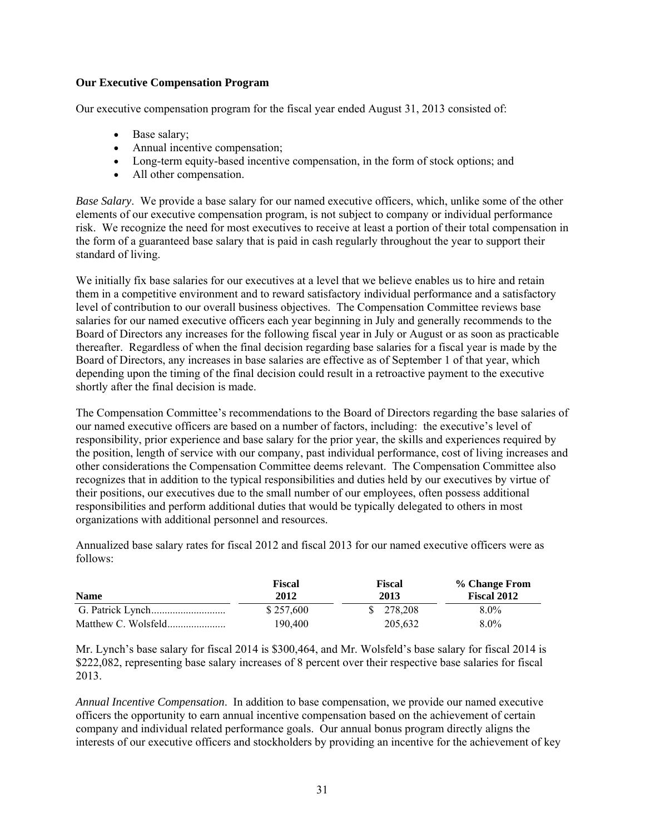## **Our Executive Compensation Program**

Our executive compensation program for the fiscal year ended August 31, 2013 consisted of:

- Base salary;
- Annual incentive compensation;
- Long-term equity-based incentive compensation, in the form of stock options; and
- All other compensation.

*Base Salary*. We provide a base salary for our named executive officers, which, unlike some of the other elements of our executive compensation program, is not subject to company or individual performance risk. We recognize the need for most executives to receive at least a portion of their total compensation in the form of a guaranteed base salary that is paid in cash regularly throughout the year to support their standard of living.

We initially fix base salaries for our executives at a level that we believe enables us to hire and retain them in a competitive environment and to reward satisfactory individual performance and a satisfactory level of contribution to our overall business objectives. The Compensation Committee reviews base salaries for our named executive officers each year beginning in July and generally recommends to the Board of Directors any increases for the following fiscal year in July or August or as soon as practicable thereafter. Regardless of when the final decision regarding base salaries for a fiscal year is made by the Board of Directors, any increases in base salaries are effective as of September 1 of that year, which depending upon the timing of the final decision could result in a retroactive payment to the executive shortly after the final decision is made.

The Compensation Committee's recommendations to the Board of Directors regarding the base salaries of our named executive officers are based on a number of factors, including: the executive's level of responsibility, prior experience and base salary for the prior year, the skills and experiences required by the position, length of service with our company, past individual performance, cost of living increases and other considerations the Compensation Committee deems relevant. The Compensation Committee also recognizes that in addition to the typical responsibilities and duties held by our executives by virtue of their positions, our executives due to the small number of our employees, often possess additional responsibilities and perform additional duties that would be typically delegated to others in most organizations with additional personnel and resources.

Annualized base salary rates for fiscal 2012 and fiscal 2013 for our named executive officers were as follows:

| <b>Name</b>         | Fiscal<br>2012 | Fiscal<br>2013 |         |  |
|---------------------|----------------|----------------|---------|--|
|                     | \$257,600      | \$ 278,208     | $8.0\%$ |  |
| Matthew C. Wolsfeld | 190.400        | 205.632        | $8.0\%$ |  |

Mr. Lynch's base salary for fiscal 2014 is \$300,464, and Mr. Wolsfeld's base salary for fiscal 2014 is \$222,082, representing base salary increases of 8 percent over their respective base salaries for fiscal 2013.

*Annual Incentive Compensation*. In addition to base compensation, we provide our named executive officers the opportunity to earn annual incentive compensation based on the achievement of certain company and individual related performance goals. Our annual bonus program directly aligns the interests of our executive officers and stockholders by providing an incentive for the achievement of key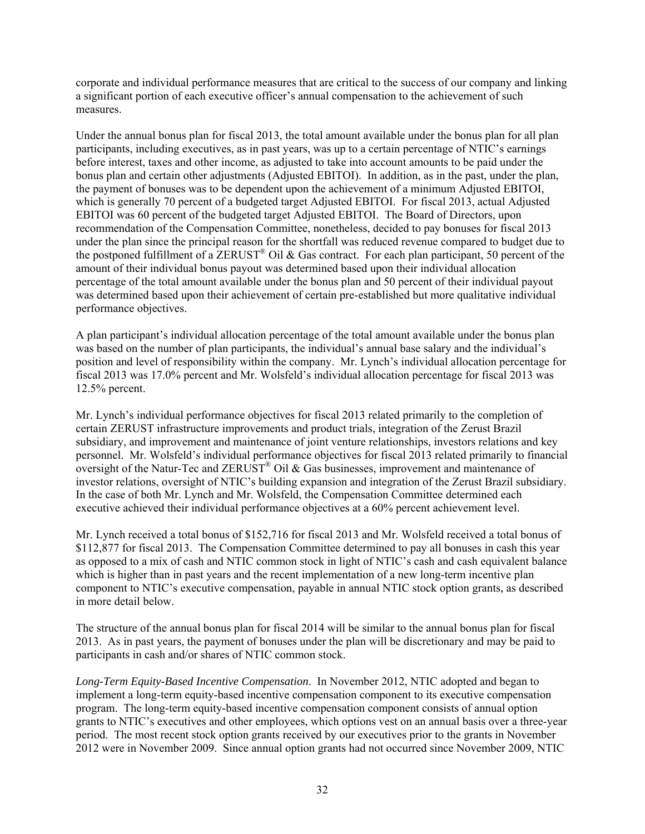corporate and individual performance measures that are critical to the success of our company and linking a significant portion of each executive officer's annual compensation to the achievement of such measures.

Under the annual bonus plan for fiscal 2013, the total amount available under the bonus plan for all plan participants, including executives, as in past years, was up to a certain percentage of NTIC's earnings before interest, taxes and other income, as adjusted to take into account amounts to be paid under the bonus plan and certain other adjustments (Adjusted EBITOI). In addition, as in the past, under the plan, the payment of bonuses was to be dependent upon the achievement of a minimum Adjusted EBITOI, which is generally 70 percent of a budgeted target Adjusted EBITOI. For fiscal 2013, actual Adjusted EBITOI was 60 percent of the budgeted target Adjusted EBITOI. The Board of Directors, upon recommendation of the Compensation Committee, nonetheless, decided to pay bonuses for fiscal 2013 under the plan since the principal reason for the shortfall was reduced revenue compared to budget due to the postponed fulfillment of a ZERUST® Oil & Gas contract. For each plan participant, 50 percent of the amount of their individual bonus payout was determined based upon their individual allocation percentage of the total amount available under the bonus plan and 50 percent of their individual payout was determined based upon their achievement of certain pre-established but more qualitative individual performance objectives.

A plan participant's individual allocation percentage of the total amount available under the bonus plan was based on the number of plan participants, the individual's annual base salary and the individual's position and level of responsibility within the company. Mr. Lynch's individual allocation percentage for fiscal 2013 was 17.0% percent and Mr. Wolsfeld's individual allocation percentage for fiscal 2013 was 12.5% percent.

Mr. Lynch's individual performance objectives for fiscal 2013 related primarily to the completion of certain ZERUST infrastructure improvements and product trials, integration of the Zerust Brazil subsidiary, and improvement and maintenance of joint venture relationships, investors relations and key personnel. Mr. Wolsfeld's individual performance objectives for fiscal 2013 related primarily to financial oversight of the Natur-Tec and  $\text{ZERUST}^{\otimes}$  Oil & Gas businesses, improvement and maintenance of investor relations, oversight of NTIC's building expansion and integration of the Zerust Brazil subsidiary. In the case of both Mr. Lynch and Mr. Wolsfeld, the Compensation Committee determined each executive achieved their individual performance objectives at a 60% percent achievement level.

Mr. Lynch received a total bonus of \$152,716 for fiscal 2013 and Mr. Wolsfeld received a total bonus of \$112,877 for fiscal 2013. The Compensation Committee determined to pay all bonuses in cash this year as opposed to a mix of cash and NTIC common stock in light of NTIC's cash and cash equivalent balance which is higher than in past years and the recent implementation of a new long-term incentive plan component to NTIC's executive compensation, payable in annual NTIC stock option grants, as described in more detail below.

The structure of the annual bonus plan for fiscal 2014 will be similar to the annual bonus plan for fiscal 2013. As in past years, the payment of bonuses under the plan will be discretionary and may be paid to participants in cash and/or shares of NTIC common stock.

*Long-Term Equity-Based Incentive Compensation*. In November 2012, NTIC adopted and began to implement a long-term equity-based incentive compensation component to its executive compensation program. The long-term equity-based incentive compensation component consists of annual option grants to NTIC's executives and other employees, which options vest on an annual basis over a three-year period. The most recent stock option grants received by our executives prior to the grants in November 2012 were in November 2009. Since annual option grants had not occurred since November 2009, NTIC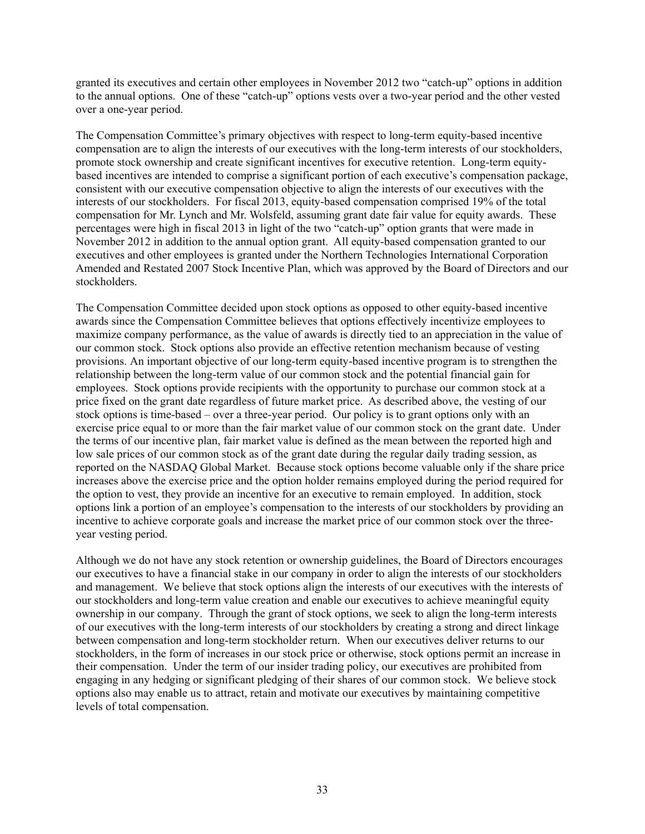granted its executives and certain other employees in November 2012 two "catch-up" options in addition to the annual options. One of these "catch-up" options vests over a two-year period and the other vested over a one-year period.

The Compensation Committee's primary objectives with respect to long-term equity-based incentive compensation are to align the interests of our executives with the long-term interests of our stockholders, promote stock ownership and create significant incentives for executive retention. Long-term equitybased incentives are intended to comprise a significant portion of each executive's compensation package, consistent with our executive compensation objective to align the interests of our executives with the interests of our stockholders. For fiscal 2013, equity-based compensation comprised 19% of the total compensation for Mr. Lynch and Mr. Wolsfeld, assuming grant date fair value for equity awards. These percentages were high in fiscal 2013 in light of the two "catch-up" option grants that were made in November 2012 in addition to the annual option grant. All equity-based compensation granted to our executives and other employees is granted under the Northern Technologies International Corporation Amended and Restated 2007 Stock Incentive Plan, which was approved by the Board of Directors and our stockholders.

The Compensation Committee decided upon stock options as opposed to other equity-based incentive awards since the Compensation Committee believes that options effectively incentivize employees to maximize company performance, as the value of awards is directly tied to an appreciation in the value of our common stock. Stock options also provide an effective retention mechanism because of vesting provisions. An important objective of our long-term equity-based incentive program is to strengthen the relationship between the long-term value of our common stock and the potential financial gain for employees. Stock options provide recipients with the opportunity to purchase our common stock at a price fixed on the grant date regardless of future market price. As described above, the vesting of our stock options is time-based – over a three-year period. Our policy is to grant options only with an exercise price equal to or more than the fair market value of our common stock on the grant date. Under the terms of our incentive plan, fair market value is defined as the mean between the reported high and low sale prices of our common stock as of the grant date during the regular daily trading session, as reported on the NASDAQ Global Market. Because stock options become valuable only if the share price increases above the exercise price and the option holder remains employed during the period required for the option to vest, they provide an incentive for an executive to remain employed. In addition, stock options link a portion of an employee's compensation to the interests of our stockholders by providing an incentive to achieve corporate goals and increase the market price of our common stock over the threeyear vesting period.

Although we do not have any stock retention or ownership guidelines, the Board of Directors encourages our executives to have a financial stake in our company in order to align the interests of our stockholders and management. We believe that stock options align the interests of our executives with the interests of our stockholders and long-term value creation and enable our executives to achieve meaningful equity ownership in our company. Through the grant of stock options, we seek to align the long-term interests of our executives with the long-term interests of our stockholders by creating a strong and direct linkage between compensation and long-term stockholder return. When our executives deliver returns to our stockholders, in the form of increases in our stock price or otherwise, stock options permit an increase in their compensation. Under the term of our insider trading policy, our executives are prohibited from engaging in any hedging or significant pledging of their shares of our common stock. We believe stock options also may enable us to attract, retain and motivate our executives by maintaining competitive levels of total compensation.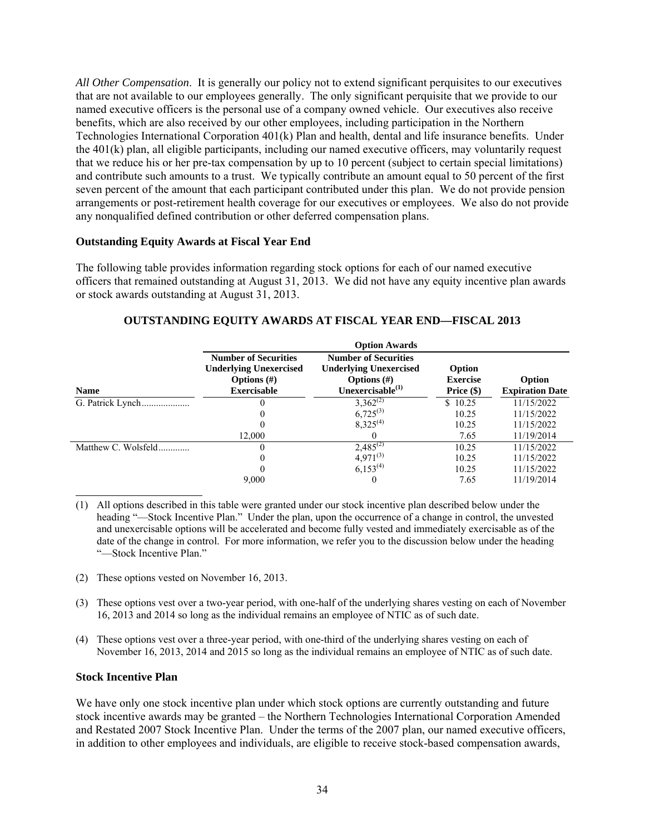*All Other Compensation*. It is generally our policy not to extend significant perquisites to our executives that are not available to our employees generally. The only significant perquisite that we provide to our named executive officers is the personal use of a company owned vehicle. Our executives also receive benefits, which are also received by our other employees, including participation in the Northern Technologies International Corporation 401(k) Plan and health, dental and life insurance benefits. Under the 401(k) plan, all eligible participants, including our named executive officers, may voluntarily request that we reduce his or her pre-tax compensation by up to 10 percent (subject to certain special limitations) and contribute such amounts to a trust. We typically contribute an amount equal to 50 percent of the first seven percent of the amount that each participant contributed under this plan. We do not provide pension arrangements or post-retirement health coverage for our executives or employees. We also do not provide any nonqualified defined contribution or other deferred compensation plans.

#### **Outstanding Equity Awards at Fiscal Year End**

The following table provides information regarding stock options for each of our named executive officers that remained outstanding at August 31, 2013. We did not have any equity incentive plan awards or stock awards outstanding at August 31, 2013.

|                     | <b>Option Awards</b>                                                                                 |                                                                                                          |                                           |                                  |  |  |  |
|---------------------|------------------------------------------------------------------------------------------------------|----------------------------------------------------------------------------------------------------------|-------------------------------------------|----------------------------------|--|--|--|
| <b>Name</b>         | <b>Number of Securities</b><br><b>Underlying Unexercised</b><br>Options $(\#)$<br><b>Exercisable</b> | <b>Number of Securities</b><br><b>Underlying Unexercised</b><br>Options $(\#)$<br>Unexercisable $^{(1)}$ | Option<br><b>Exercise</b><br>Price $(\$)$ | Option<br><b>Expiration Date</b> |  |  |  |
| G. Patrick Lynch    |                                                                                                      | $3,362^{(2)}$                                                                                            | \$10.25                                   | 11/15/2022                       |  |  |  |
|                     |                                                                                                      | $6,725^{(3)}$                                                                                            | 10.25                                     | 11/15/2022                       |  |  |  |
|                     |                                                                                                      | $8,325^{(4)}$                                                                                            | 10.25                                     | 11/15/2022                       |  |  |  |
|                     | 12.000                                                                                               |                                                                                                          | 7.65                                      | 11/19/2014                       |  |  |  |
| Matthew C. Wolsfeld |                                                                                                      | $2,485^{(2)}$                                                                                            | 10.25                                     | 11/15/2022                       |  |  |  |
|                     |                                                                                                      | $4.971^{(3)}$                                                                                            | 10.25                                     | 11/15/2022                       |  |  |  |
|                     | 0                                                                                                    | $6,153^{(4)}$                                                                                            | 10.25                                     | 11/15/2022                       |  |  |  |
|                     | 9,000                                                                                                |                                                                                                          | 7.65                                      | 11/19/2014                       |  |  |  |

# **OUTSTANDING EQUITY AWARDS AT FISCAL YEAR END—FISCAL 2013**

(1) All options described in this table were granted under our stock incentive plan described below under the heading "—Stock Incentive Plan." Under the plan, upon the occurrence of a change in control, the unvested and unexercisable options will be accelerated and become fully vested and immediately exercisable as of the date of the change in control. For more information, we refer you to the discussion below under the heading "—Stock Incentive Plan."

- (2) These options vested on November 16, 2013.
- (3) These options vest over a two-year period, with one-half of the underlying shares vesting on each of November 16, 2013 and 2014 so long as the individual remains an employee of NTIC as of such date.
- (4) These options vest over a three-year period, with one-third of the underlying shares vesting on each of November 16, 2013, 2014 and 2015 so long as the individual remains an employee of NTIC as of such date.

#### **Stock Incentive Plan**

We have only one stock incentive plan under which stock options are currently outstanding and future stock incentive awards may be granted – the Northern Technologies International Corporation Amended and Restated 2007 Stock Incentive Plan. Under the terms of the 2007 plan, our named executive officers, in addition to other employees and individuals, are eligible to receive stock-based compensation awards,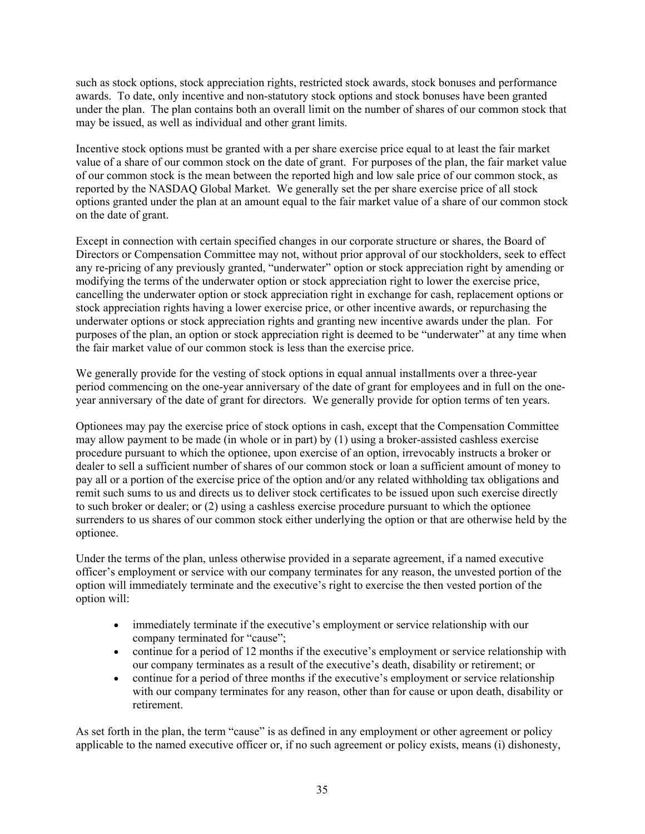such as stock options, stock appreciation rights, restricted stock awards, stock bonuses and performance awards. To date, only incentive and non-statutory stock options and stock bonuses have been granted under the plan. The plan contains both an overall limit on the number of shares of our common stock that may be issued, as well as individual and other grant limits.

Incentive stock options must be granted with a per share exercise price equal to at least the fair market value of a share of our common stock on the date of grant. For purposes of the plan, the fair market value of our common stock is the mean between the reported high and low sale price of our common stock, as reported by the NASDAQ Global Market. We generally set the per share exercise price of all stock options granted under the plan at an amount equal to the fair market value of a share of our common stock on the date of grant.

Except in connection with certain specified changes in our corporate structure or shares, the Board of Directors or Compensation Committee may not, without prior approval of our stockholders, seek to effect any re-pricing of any previously granted, "underwater" option or stock appreciation right by amending or modifying the terms of the underwater option or stock appreciation right to lower the exercise price, cancelling the underwater option or stock appreciation right in exchange for cash, replacement options or stock appreciation rights having a lower exercise price, or other incentive awards, or repurchasing the underwater options or stock appreciation rights and granting new incentive awards under the plan. For purposes of the plan, an option or stock appreciation right is deemed to be "underwater" at any time when the fair market value of our common stock is less than the exercise price.

We generally provide for the vesting of stock options in equal annual installments over a three-year period commencing on the one-year anniversary of the date of grant for employees and in full on the oneyear anniversary of the date of grant for directors. We generally provide for option terms of ten years.

Optionees may pay the exercise price of stock options in cash, except that the Compensation Committee may allow payment to be made (in whole or in part) by (1) using a broker-assisted cashless exercise procedure pursuant to which the optionee, upon exercise of an option, irrevocably instructs a broker or dealer to sell a sufficient number of shares of our common stock or loan a sufficient amount of money to pay all or a portion of the exercise price of the option and/or any related withholding tax obligations and remit such sums to us and directs us to deliver stock certificates to be issued upon such exercise directly to such broker or dealer; or (2) using a cashless exercise procedure pursuant to which the optionee surrenders to us shares of our common stock either underlying the option or that are otherwise held by the optionee.

Under the terms of the plan, unless otherwise provided in a separate agreement, if a named executive officer's employment or service with our company terminates for any reason, the unvested portion of the option will immediately terminate and the executive's right to exercise the then vested portion of the option will:

- immediately terminate if the executive's employment or service relationship with our company terminated for "cause";
- continue for a period of 12 months if the executive's employment or service relationship with our company terminates as a result of the executive's death, disability or retirement; or
- continue for a period of three months if the executive's employment or service relationship with our company terminates for any reason, other than for cause or upon death, disability or retirement.

As set forth in the plan, the term "cause" is as defined in any employment or other agreement or policy applicable to the named executive officer or, if no such agreement or policy exists, means (i) dishonesty,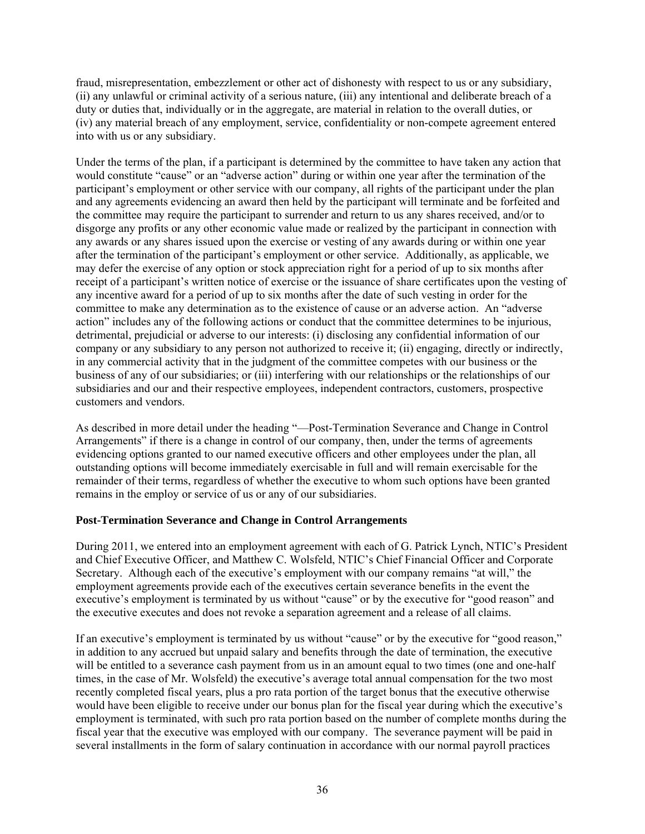fraud, misrepresentation, embezzlement or other act of dishonesty with respect to us or any subsidiary, (ii) any unlawful or criminal activity of a serious nature, (iii) any intentional and deliberate breach of a duty or duties that, individually or in the aggregate, are material in relation to the overall duties, or (iv) any material breach of any employment, service, confidentiality or non-compete agreement entered into with us or any subsidiary.

Under the terms of the plan, if a participant is determined by the committee to have taken any action that would constitute "cause" or an "adverse action" during or within one year after the termination of the participant's employment or other service with our company, all rights of the participant under the plan and any agreements evidencing an award then held by the participant will terminate and be forfeited and the committee may require the participant to surrender and return to us any shares received, and/or to disgorge any profits or any other economic value made or realized by the participant in connection with any awards or any shares issued upon the exercise or vesting of any awards during or within one year after the termination of the participant's employment or other service. Additionally, as applicable, we may defer the exercise of any option or stock appreciation right for a period of up to six months after receipt of a participant's written notice of exercise or the issuance of share certificates upon the vesting of any incentive award for a period of up to six months after the date of such vesting in order for the committee to make any determination as to the existence of cause or an adverse action. An "adverse action" includes any of the following actions or conduct that the committee determines to be injurious, detrimental, prejudicial or adverse to our interests: (i) disclosing any confidential information of our company or any subsidiary to any person not authorized to receive it; (ii) engaging, directly or indirectly, in any commercial activity that in the judgment of the committee competes with our business or the business of any of our subsidiaries; or (iii) interfering with our relationships or the relationships of our subsidiaries and our and their respective employees, independent contractors, customers, prospective customers and vendors.

As described in more detail under the heading "—Post-Termination Severance and Change in Control Arrangements" if there is a change in control of our company, then, under the terms of agreements evidencing options granted to our named executive officers and other employees under the plan, all outstanding options will become immediately exercisable in full and will remain exercisable for the remainder of their terms, regardless of whether the executive to whom such options have been granted remains in the employ or service of us or any of our subsidiaries.

# **Post-Termination Severance and Change in Control Arrangements**

During 2011, we entered into an employment agreement with each of G. Patrick Lynch, NTIC's President and Chief Executive Officer, and Matthew C. Wolsfeld, NTIC's Chief Financial Officer and Corporate Secretary. Although each of the executive's employment with our company remains "at will," the employment agreements provide each of the executives certain severance benefits in the event the executive's employment is terminated by us without "cause" or by the executive for "good reason" and the executive executes and does not revoke a separation agreement and a release of all claims.

If an executive's employment is terminated by us without "cause" or by the executive for "good reason," in addition to any accrued but unpaid salary and benefits through the date of termination, the executive will be entitled to a severance cash payment from us in an amount equal to two times (one and one-half times, in the case of Mr. Wolsfeld) the executive's average total annual compensation for the two most recently completed fiscal years, plus a pro rata portion of the target bonus that the executive otherwise would have been eligible to receive under our bonus plan for the fiscal year during which the executive's employment is terminated, with such pro rata portion based on the number of complete months during the fiscal year that the executive was employed with our company. The severance payment will be paid in several installments in the form of salary continuation in accordance with our normal payroll practices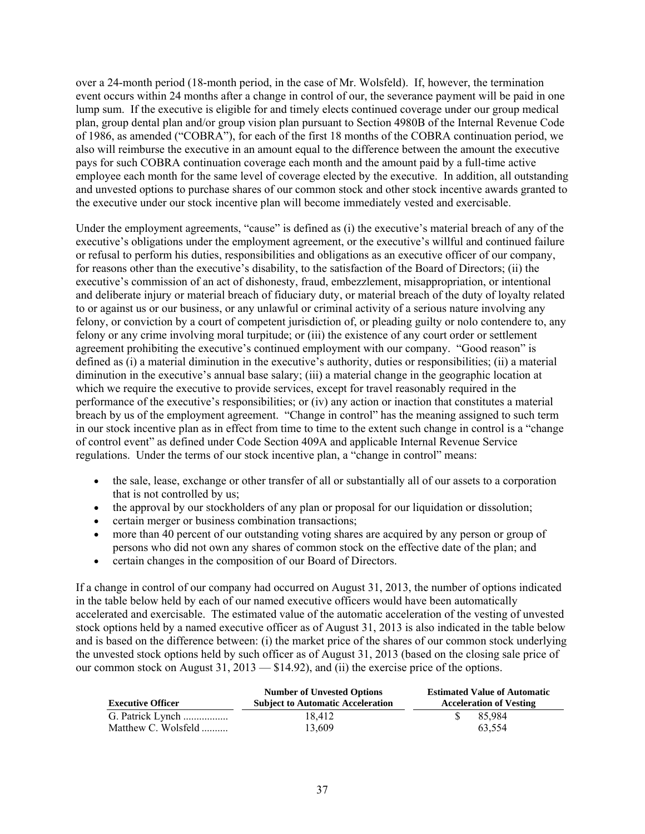over a 24-month period (18-month period, in the case of Mr. Wolsfeld). If, however, the termination event occurs within 24 months after a change in control of our, the severance payment will be paid in one lump sum. If the executive is eligible for and timely elects continued coverage under our group medical plan, group dental plan and/or group vision plan pursuant to Section 4980B of the Internal Revenue Code of 1986, as amended ("COBRA"), for each of the first 18 months of the COBRA continuation period, we also will reimburse the executive in an amount equal to the difference between the amount the executive pays for such COBRA continuation coverage each month and the amount paid by a full-time active employee each month for the same level of coverage elected by the executive. In addition, all outstanding and unvested options to purchase shares of our common stock and other stock incentive awards granted to the executive under our stock incentive plan will become immediately vested and exercisable.

Under the employment agreements, "cause" is defined as (i) the executive's material breach of any of the executive's obligations under the employment agreement, or the executive's willful and continued failure or refusal to perform his duties, responsibilities and obligations as an executive officer of our company, for reasons other than the executive's disability, to the satisfaction of the Board of Directors; (ii) the executive's commission of an act of dishonesty, fraud, embezzlement, misappropriation, or intentional and deliberate injury or material breach of fiduciary duty, or material breach of the duty of loyalty related to or against us or our business, or any unlawful or criminal activity of a serious nature involving any felony, or conviction by a court of competent jurisdiction of, or pleading guilty or nolo contendere to, any felony or any crime involving moral turpitude; or (iii) the existence of any court order or settlement agreement prohibiting the executive's continued employment with our company. "Good reason" is defined as (i) a material diminution in the executive's authority, duties or responsibilities; (ii) a material diminution in the executive's annual base salary; (iii) a material change in the geographic location at which we require the executive to provide services, except for travel reasonably required in the performance of the executive's responsibilities; or (iv) any action or inaction that constitutes a material breach by us of the employment agreement. "Change in control" has the meaning assigned to such term in our stock incentive plan as in effect from time to time to the extent such change in control is a "change of control event" as defined under Code Section 409A and applicable Internal Revenue Service regulations. Under the terms of our stock incentive plan, a "change in control" means:

- the sale, lease, exchange or other transfer of all or substantially all of our assets to a corporation that is not controlled by us;
- the approval by our stockholders of any plan or proposal for our liquidation or dissolution;
- certain merger or business combination transactions;
- more than 40 percent of our outstanding voting shares are acquired by any person or group of persons who did not own any shares of common stock on the effective date of the plan; and
- certain changes in the composition of our Board of Directors.

If a change in control of our company had occurred on August 31, 2013, the number of options indicated in the table below held by each of our named executive officers would have been automatically accelerated and exercisable. The estimated value of the automatic acceleration of the vesting of unvested stock options held by a named executive officer as of August 31, 2013 is also indicated in the table below and is based on the difference between: (i) the market price of the shares of our common stock underlying the unvested stock options held by such officer as of August 31, 2013 (based on the closing sale price of our common stock on August 31, 2013 — \$14.92), and (ii) the exercise price of the options.

| <b>Executive Officer</b> | <b>Number of Unvested Options</b><br><b>Subject to Automatic Acceleration</b> | <b>Estimated Value of Automatic</b><br><b>Acceleration of Vesting</b> |  |  |  |
|--------------------------|-------------------------------------------------------------------------------|-----------------------------------------------------------------------|--|--|--|
| G. Patrick Lynch         | 18.412                                                                        | 85.984                                                                |  |  |  |
| Matthew C. Wolsfeld      | 13.609                                                                        | 63.554                                                                |  |  |  |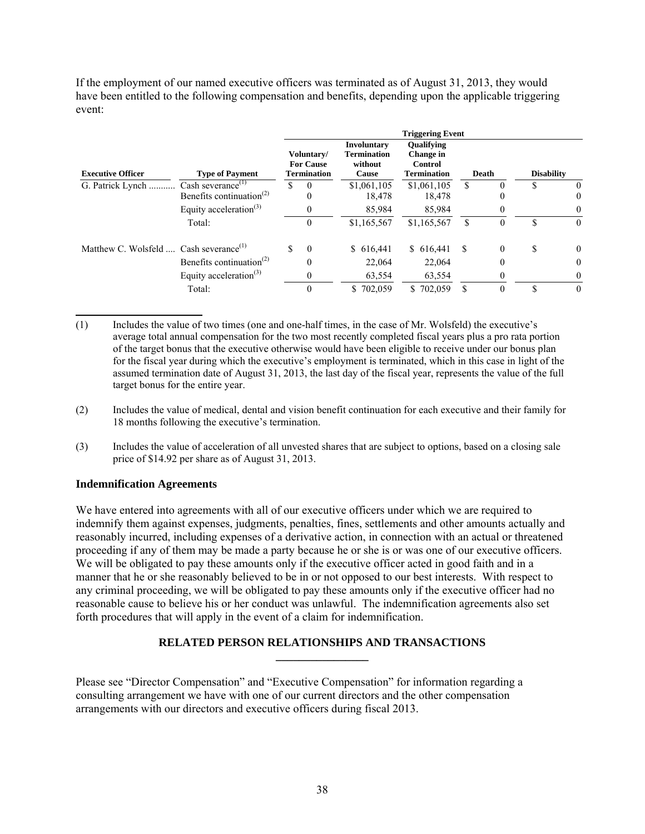If the employment of our named executive officers was terminated as of August 31, 2013, they would have been entitled to the following compensation and benefits, depending upon the applicable triggering event:

|                                                            |                                                   | <b>Triggering Event</b> |                                                      |                                                                     |                                                                        |             |       |          |                   |          |
|------------------------------------------------------------|---------------------------------------------------|-------------------------|------------------------------------------------------|---------------------------------------------------------------------|------------------------------------------------------------------------|-------------|-------|----------|-------------------|----------|
| <b>Executive Officer</b>                                   | <b>Type of Payment</b>                            |                         | Voluntary/<br><b>For Cause</b><br><b>Termination</b> | <b>Involuntary</b><br><b>Termination</b><br>without<br><b>Cause</b> | <b>Oualifying</b><br><b>Change</b> in<br>Control<br><b>Termination</b> |             | Death |          | <b>Disability</b> |          |
| G. Patrick Lynch                                           | Cash severance <sup><math>(1)</math></sup>        | \$                      | $\theta$                                             | \$1,061,105                                                         |                                                                        | \$1,061,105 | \$.   |          | S                 | $\theta$ |
|                                                            | Benefits continuation <sup><math>(2)</math></sup> |                         | $\theta$                                             | 18.478                                                              |                                                                        | 18.478      |       |          |                   | $\theta$ |
|                                                            | Equity acceleration <sup>(3)</sup>                |                         | 0                                                    | 85,984                                                              |                                                                        | 85,984      |       |          |                   | 0        |
|                                                            | Total:                                            |                         | $\boldsymbol{0}$                                     | \$1,165,567                                                         | \$1,165,567                                                            |             | \$    |          | S                 | $\theta$ |
| Matthew C. Wolsfeld $\ldots$ Cash severance <sup>(1)</sup> |                                                   | \$                      | $\theta$                                             | \$616,441                                                           |                                                                        | \$616,441   | \$.   | $\Omega$ | S                 | $\theta$ |
|                                                            | Benefits continuation <sup>(2)</sup>              |                         | $\theta$                                             | 22,064                                                              |                                                                        | 22,064      |       | $\Omega$ |                   | $\theta$ |
|                                                            | Equity acceleration <sup>(3)</sup>                |                         | 0                                                    | 63,554                                                              |                                                                        | 63,554      |       | $\Omega$ |                   | $\theta$ |
|                                                            | Total:                                            |                         | $\theta$                                             | \$702,059                                                           |                                                                        | \$702,059   |       |          | S                 | $\theta$ |

- (1) Includes the value of two times (one and one-half times, in the case of Mr. Wolsfeld) the executive's average total annual compensation for the two most recently completed fiscal years plus a pro rata portion of the target bonus that the executive otherwise would have been eligible to receive under our bonus plan for the fiscal year during which the executive's employment is terminated, which in this case in light of the assumed termination date of August 31, 2013, the last day of the fiscal year, represents the value of the full target bonus for the entire year.
- (2) Includes the value of medical, dental and vision benefit continuation for each executive and their family for 18 months following the executive's termination.
- (3) Includes the value of acceleration of all unvested shares that are subject to options, based on a closing sale price of \$14.92 per share as of August 31, 2013.

# **Indemnification Agreements**

We have entered into agreements with all of our executive officers under which we are required to indemnify them against expenses, judgments, penalties, fines, settlements and other amounts actually and reasonably incurred, including expenses of a derivative action, in connection with an actual or threatened proceeding if any of them may be made a party because he or she is or was one of our executive officers. We will be obligated to pay these amounts only if the executive officer acted in good faith and in a manner that he or she reasonably believed to be in or not opposed to our best interests. With respect to any criminal proceeding, we will be obligated to pay these amounts only if the executive officer had no reasonable cause to believe his or her conduct was unlawful. The indemnification agreements also set forth procedures that will apply in the event of a claim for indemnification.

# **RELATED PERSON RELATIONSHIPS AND TRANSACTIONS \_\_\_\_\_\_\_\_\_\_\_\_\_\_\_\_**

Please see "Director Compensation" and "Executive Compensation" for information regarding a consulting arrangement we have with one of our current directors and the other compensation arrangements with our directors and executive officers during fiscal 2013.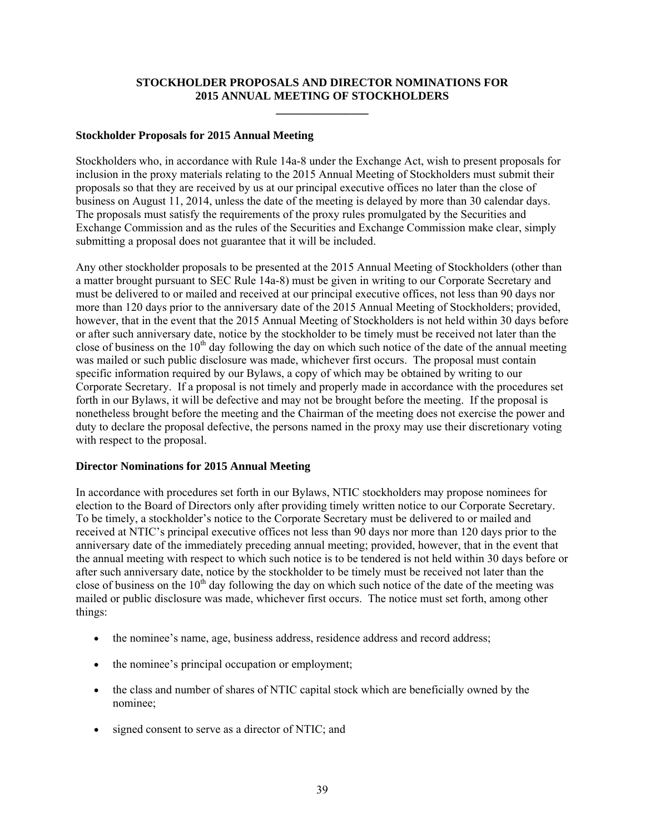# **STOCKHOLDER PROPOSALS AND DIRECTOR NOMINATIONS FOR 2015 ANNUAL MEETING OF STOCKHOLDERS \_\_\_\_\_\_\_\_\_\_\_\_\_\_\_\_**

#### **Stockholder Proposals for 2015 Annual Meeting**

Stockholders who, in accordance with Rule 14a-8 under the Exchange Act, wish to present proposals for inclusion in the proxy materials relating to the 2015 Annual Meeting of Stockholders must submit their proposals so that they are received by us at our principal executive offices no later than the close of business on August 11, 2014, unless the date of the meeting is delayed by more than 30 calendar days. The proposals must satisfy the requirements of the proxy rules promulgated by the Securities and Exchange Commission and as the rules of the Securities and Exchange Commission make clear, simply submitting a proposal does not guarantee that it will be included.

Any other stockholder proposals to be presented at the 2015 Annual Meeting of Stockholders (other than a matter brought pursuant to SEC Rule 14a-8) must be given in writing to our Corporate Secretary and must be delivered to or mailed and received at our principal executive offices, not less than 90 days nor more than 120 days prior to the anniversary date of the 2015 Annual Meeting of Stockholders; provided, however, that in the event that the 2015 Annual Meeting of Stockholders is not held within 30 days before or after such anniversary date, notice by the stockholder to be timely must be received not later than the close of business on the  $10<sup>th</sup>$  day following the day on which such notice of the date of the annual meeting was mailed or such public disclosure was made, whichever first occurs. The proposal must contain specific information required by our Bylaws, a copy of which may be obtained by writing to our Corporate Secretary. If a proposal is not timely and properly made in accordance with the procedures set forth in our Bylaws, it will be defective and may not be brought before the meeting. If the proposal is nonetheless brought before the meeting and the Chairman of the meeting does not exercise the power and duty to declare the proposal defective, the persons named in the proxy may use their discretionary voting with respect to the proposal.

# **Director Nominations for 2015 Annual Meeting**

In accordance with procedures set forth in our Bylaws, NTIC stockholders may propose nominees for election to the Board of Directors only after providing timely written notice to our Corporate Secretary. To be timely, a stockholder's notice to the Corporate Secretary must be delivered to or mailed and received at NTIC's principal executive offices not less than 90 days nor more than 120 days prior to the anniversary date of the immediately preceding annual meeting; provided, however, that in the event that the annual meeting with respect to which such notice is to be tendered is not held within 30 days before or after such anniversary date, notice by the stockholder to be timely must be received not later than the close of business on the  $10<sup>th</sup>$  day following the day on which such notice of the date of the meeting was mailed or public disclosure was made, whichever first occurs. The notice must set forth, among other things:

- the nominee's name, age, business address, residence address and record address;
- the nominee's principal occupation or employment;
- the class and number of shares of NTIC capital stock which are beneficially owned by the nominee;
- signed consent to serve as a director of NTIC; and